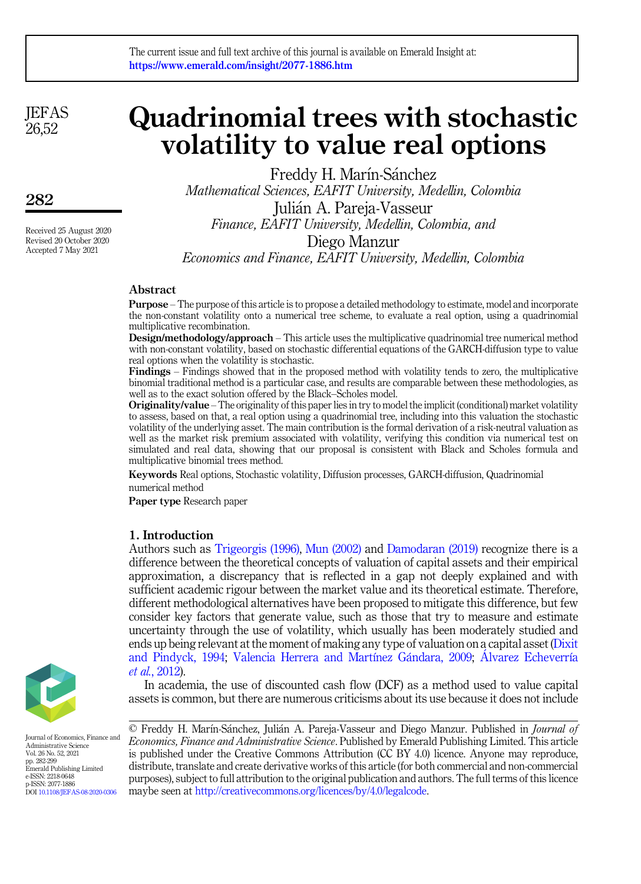**JEFAS** 26,52

282

Received 25 August 2020 Revised 20 October 2020 Accepted 7 May 2021

# Quadrinomial trees with stochastic volatility to value real options

Freddy H. Marín-Sánchez Mathematical Sciences, EAFIT University, Medellin, Colombia Julian A. Pareja-Vasseur Finance, EAFIT University, Medellin, Colombia, and Diego Manzur

Economics and Finance, EAFIT University, Medellin, Colombia

# Abstract

Purpose – The purpose of this article is to propose a detailed methodology to estimate, model and incorporate the non-constant volatility onto a numerical tree scheme, to evaluate a real option, using a quadrinomial multiplicative recombination.

Design/methodology/approach – This article uses the multiplicative quadrinomial tree numerical method with non-constant volatility, based on stochastic differential equations of the GARCH-diffusion type to value real options when the volatility is stochastic.

Findings – Findings showed that in the proposed method with volatility tends to zero, the multiplicative binomial traditional method is a particular case, and results are comparable between these methodologies, as well as to the exact solution offered by the Black–Scholes model.

Originality/value – The originality of this paper lies in try to model the implicit (conditional) market volatility to assess, based on that, a real option using a quadrinomial tree, including into this valuation the stochastic volatility of the underlying asset. The main contribution is the formal derivation of a risk-neutral valuation as well as the market risk premium associated with volatility, verifying this condition via numerical test on simulated and real data, showing that our proposal is consistent with Black and Scholes formula and multiplicative binomial trees method.

Keywords Real options, Stochastic volatility, Diffusion processes, GARCH-diffusion, Quadrinomial numerical method

Paper type Research paper

# 1. Introduction

Authors such as [Trigeorgis \(1996\),](#page-17-0) [Mun \(2002\)](#page-16-0) and [Damodaran \(2019\)](#page-15-0) recognize there is a difference between the theoretical concepts of valuation of capital assets and their empirical approximation, a discrepancy that is reflected in a gap not deeply explained and with sufficient academic rigour between the market value and its theoretical estimate. Therefore, different methodological alternatives have been proposed to mitigate this difference, but few consider key factors that generate value, such as those that try to measure and estimate uncertainty through the use of volatility, which usually has been moderately studied and ends up being relevant at the moment of making any type of valuation on a capital asset [\(Dixit](#page-15-1) [and Pindyck, 1994](#page-15-1); [Valencia Herrera and Mart](#page-17-1)í[nez G](#page-17-1)ándara, 2009; [Alvarez Echeverr](#page-14-0)í[a](#page-14-0) et al.[, 2012\)](#page-14-0).

In academia, the use of discounted cash flow (DCF) as a method used to value capital assets is common, but there are numerous criticisms about its use because it does not include





Journal of Economics, Finance and Administrative Science Vol. 26 No. 52, 2021 pp. 282-299 Emerald Publishing Limited e-ISSN: 2218-0648 p-ISSN: 2077-1886 DOI [10.1108/JEFAS-08-2020-0306](https://doi.org/10.1108/JEFAS-08-2020-0306)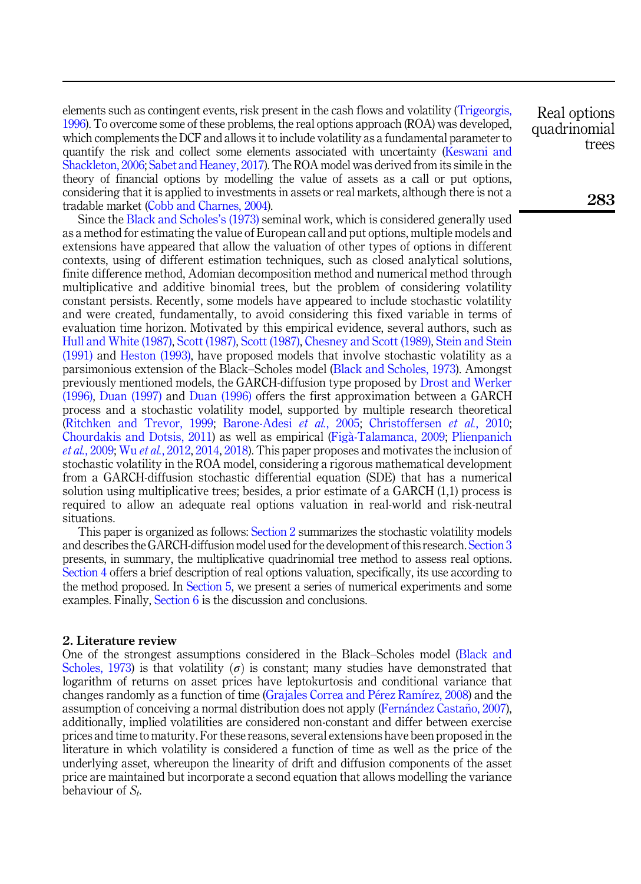elements such as contingent events, risk present in the cash flows and volatility [\(Trigeorgis,](#page-17-0) [1996\)](#page-17-0). To overcome some of these problems, the real options approach (ROA) was developed, which complements the DCF and allows it to include volatility as a fundamental parameter to quantify the risk and collect some elements associated with uncertainty ([Keswani and](#page-16-1) [Shackleton, 2006](#page-16-1); [Sabet and Heaney, 2017](#page-16-2)). The ROA model was derived from its simile in the theory of financial options by modelling the value of assets as a call or put options, considering that it is applied to investments in assets or real markets, although there is not a tradable market ([Cobb and Charnes, 2004\)](#page-14-1).

Since the [Black and Scholes](#page-14-2)'s (1973) seminal work, which is considered generally used as a method for estimating the value of European call and put options, multiple models and extensions have appeared that allow the valuation of other types of options in different contexts, using of different estimation techniques, such as closed analytical solutions, finite difference method, Adomian decomposition method and numerical method through multiplicative and additive binomial trees, but the problem of considering volatility constant persists. Recently, some models have appeared to include stochastic volatility and were created, fundamentally, to avoid considering this fixed variable in terms of evaluation time horizon. Motivated by this empirical evidence, several authors, such as [Hull and White \(1987\)](#page-15-2), [Scott \(1987\),](#page-16-3) [Scott \(1987\),](#page-16-3) [Chesney and Scott \(1989\),](#page-14-3) [Stein and Stein](#page-17-2) [\(1991\)](#page-17-2) and [Heston \(1993\),](#page-15-3) have proposed models that involve stochastic volatility as a parsimonious extension of the Black–Scholes model ([Black and Scholes, 1973\)](#page-14-2). Amongst previously mentioned models, the GARCH-diffusion type proposed by [Drost and Werker](#page-15-4) [\(1996\)](#page-15-4), [Duan \(1997\)](#page-15-5) and [Duan \(1996\)](#page-15-6) offers the first approximation between a GARCH process and a stochastic volatility model, supported by multiple research theoretical ([Ritchken and Trevor, 1999](#page-16-4); [Barone-Adesi](#page-14-4) et al., 2005; [Christoffersen](#page-14-5) et al., 2010; [Chourdakis and Dotsis, 2011](#page-14-6)) as well as empirical ([Fig](#page-15-7)a[-Talamanca, 2009;](#page-15-7) [Plienpanich](#page-16-5) et al.[, 2009;](#page-16-5) Wu et al.[, 2012,](#page-17-3) [2014,](#page-17-4) [2018](#page-17-5)). This paper proposes and motivates the inclusion of stochastic volatility in the ROA model, considering a rigorous mathematical development from a GARCH-diffusion stochastic differential equation (SDE) that has a numerical solution using multiplicative trees; besides, a prior estimate of a GARCH (1,1) process is required to allow an adequate real options valuation in real-world and risk-neutral situations.

This paper is organized as follows: [Section 2](#page-1-0) summarizes the stochastic volatility models and describes the GARCH-diffusion model used for the development of this research. [Section 3](#page-5-0) presents, in summary, the multiplicative quadrinomial tree method to assess real options. [Section 4](#page-9-0) offers a brief description of real options valuation, specifically, its use according to the method proposed. In [Section 5](#page-13-0), we present a series of numerical experiments and some examples. Finally, [Section 6](#page-13-1) is the discussion and conclusions.

#### <span id="page-1-0"></span>2. Literature review

One of the strongest assumptions considered in the Black–Scholes model [\(Black and](#page-14-2) [Scholes, 1973](#page-14-2)) is that volatility  $(\sigma)$  is constant; many studies have demonstrated that logarithm of returns on asset prices have leptokurtosis and conditional variance that changes randomly as a function of time ([Grajales Correa and P](#page-15-8)é[rez Ram](#page-15-8)í[rez, 2008\)](#page-15-8) and the assumption of conceiving a normal distribution does not apply ([Fern](#page-15-9)ández Castañ[o, 2007](#page-15-9)), additionally, implied volatilities are considered non-constant and differ between exercise prices and time to maturity. For these reasons, several extensions have been proposed in the literature in which volatility is considered a function of time as well as the price of the underlying asset, whereupon the linearity of drift and diffusion components of the asset price are maintained but incorporate a second equation that allows modelling the variance behaviour of  $S_t$ .

Real options quadrinomial trees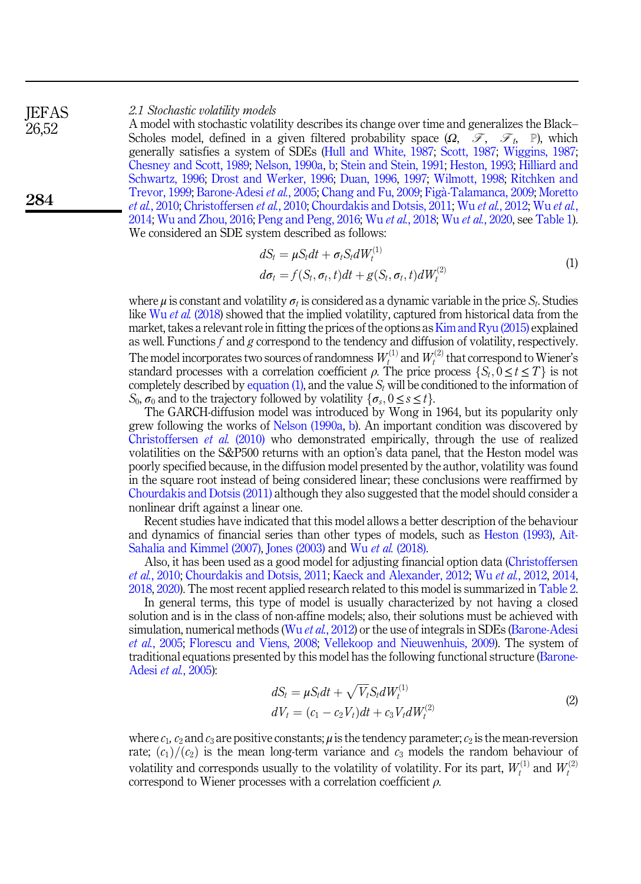#### 2.1 Stochastic volatility models **IEFAS**

A model with stochastic volatility describes its change over time and generalizes the Black– Scholes model, defined in a given filtered probability space  $(\Omega, \mathcal{F}, \mathcal{F}_t, \mathbb{P})$ , which generally satisfies a system of SDEs ([Hull and White, 1987;](#page-15-2) [Scott, 1987;](#page-16-3) [Wiggins, 1987](#page-17-6); [Chesney and Scott, 1989;](#page-14-3) [Nelson, 1990a,](#page-16-6) [b](#page-16-7); [Stein and Stein, 1991](#page-17-2); [Heston, 1993](#page-15-3); [Hilliard and](#page-15-10) [Schwartz, 1996;](#page-15-10) [Drost and Werker, 1996;](#page-15-4) [Duan, 1996,](#page-15-6) [1997;](#page-15-5) [Wilmott, 1998](#page-17-7); [Ritchken and](#page-16-4) [Trevor, 1999](#page-16-4); [Barone-Adesi](#page-14-4) et al., 2005; [Chang and Fu, 2009](#page-14-7); [Fig](#page-15-7)[a-Talamanca, 2009](#page-15-7); [Moretto](#page-16-8) et al.[, 2010;](#page-16-8) [Christoffersen](#page-14-5) et al., 2010; [Chourdakis and Dotsis, 2011;](#page-14-6) Wu et al.[, 2012](#page-17-3); Wu [et al.](#page-17-4), [2014;](#page-17-4) [Wu and Zhou, 2016;](#page-17-8) [Peng and Peng, 2016](#page-16-9); Wu et al.[, 2018;](#page-17-5) Wu et al.[, 2020](#page-17-9), see [Table 1\)](#page-3-0). We considered an SDE system described as follows:

$$
dS_t = \mu S_t dt + \sigma_t S_t dW_t^{(1)}
$$
  
\n
$$
d\sigma_t = f(S_t, \sigma_t, t) dt + g(S_t, \sigma_t, t) dW_t^{(2)}
$$
\n(1)

<span id="page-2-0"></span>where  $\mu$  is constant and volatility  $\sigma_t$  is considered as a dynamic variable in the price  $S_t$ . Studies like Wu *et al.* [\(2018](#page-17-5)) showed that the implied volatility, captured from historical data from the market, takes a relevant role in fitting the prices of the options as[Kim and Ryu \(2015\)](#page-16-10) explained as well. Functions  $f$  and  $g$  correspond to the tendency and diffusion of volatility, respectively. The model incorporates two sources of randomness  $W_t^{(1)}$  and  $W_t^{(2)}$  that correspond to Wiener's standard processes with a correlation coefficient  $\rho$ . The price process  $\{S_t, 0 \le t \le T\}$  is not completely described by equation (1), and the value  $S_t$  will be conditioned to the information of completely described by [equation \(1\),](#page-2-0) and the value  $S_t$  will be conditioned to the information of S<sub>0</sub>,  $\sigma_0$  and to the trajectory followed by volatility  $\{\sigma_s, 0 \le s \le t\}.$ 

The GARCH-diffusion model was introduced by Wong in 1964, but its popularity only grew following the works of [Nelson \(1990a,](#page-16-6) [b](#page-16-7)). An important condition was discovered by [Christoffersen](#page-14-5) et al. (2010) who demonstrated empirically, through the use of realized volatilities on the S&P500 returns with an option's data panel, that the Heston model was poorly specified because, in the diffusion model presented by the author, volatility was found in the square root instead of being considered linear; these conclusions were reaffirmed by [Chourdakis and Dotsis \(2011\)](#page-14-6) although they also suggested that the model should consider a nonlinear drift against a linear one.

Recent studies have indicated that this model allows a better description of the behaviour and dynamics of financial series than other types of models, such as [Heston \(1993\)](#page-15-3), [A](#page-14-8)i[t-](#page-14-8)[Sahalia and Kimmel \(2007\),](#page-14-8) [Jones \(2003\)](#page-15-11) and Wu et al. [\(2018\).](#page-17-5)

Also, it has been used as a good model for adjusting financial option data [\(Christoffersen](#page-14-5) et al.[, 2010;](#page-14-5) [Chourdakis and Dotsis, 2011](#page-14-6); [Kaeck and Alexander, 2012](#page-15-12); Wu et al.[, 2012](#page-17-3), [2014](#page-17-4), [2018,](#page-17-5) [2020](#page-17-9)). The most recent applied research related to this model is summarized in [Table 2](#page-4-0).

<span id="page-2-1"></span>In general terms, this type of model is usually characterized by not having a closed solution and is in the class of non-affine models; also, their solutions must be achieved with simulation, numerical methods (Wu *et al.*[, 2012\)](#page-17-3) or the use of integrals in SDEs ([Barone-Adesi](#page-14-4) et al.[, 2005;](#page-14-4) [Florescu and Viens, 2008](#page-15-13); [Vellekoop and Nieuwenhuis, 2009\)](#page-17-10). The system of traditional equations presented by this model has the following functional structure ([Barone-](#page-14-4)Adesi et al.[, 2005](#page-14-4)):

$$
dS_t = \mu S_t dt + \sqrt{V_t} S_t dW_t^{(1)}
$$
  
\n
$$
dV_t = (c_1 - c_2 V_t) dt + c_3 V_t dW_t^{(2)}
$$
\n(2)

where  $c_1$ ,  $c_2$  and  $c_3$  are positive constants;  $\mu$  is the tendency parameter;  $c_2$  is the mean-reversion rate;  $(c_1)/(c_2)$  is the mean long-term variance and  $c_3$  models the random behaviour of volatility and corresponds usually to the volatility of volatility. For its part,  $W_t^{(1)}$  and  $W_t^{(2)}$ correspond to Wiener processes with a correlation coefficient  $\rho$ .

284

26,52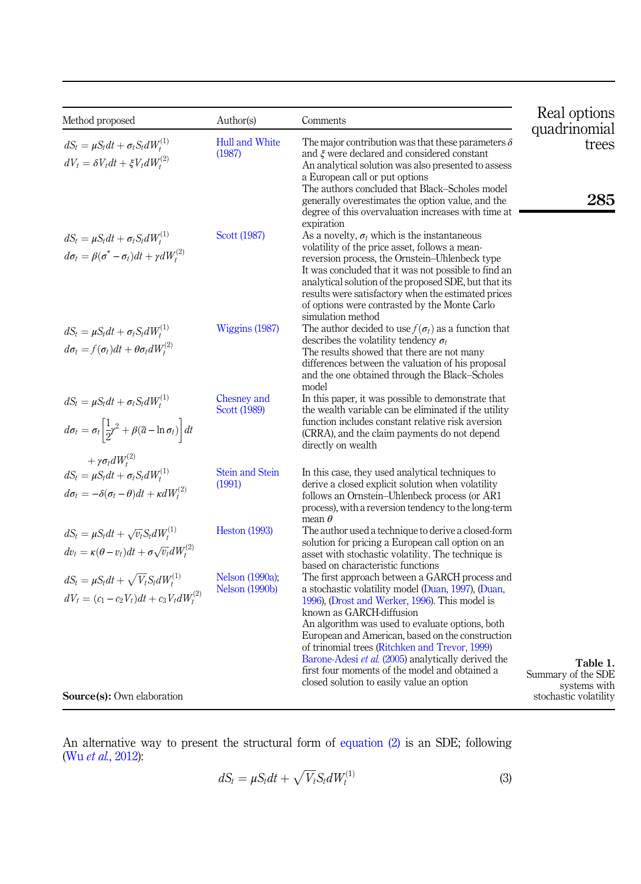<span id="page-3-0"></span>

| Method proposed                                                                                                                                                                      | Author(s)                                | Comments                                                                                                                                                                                                                                                                                                                                                                                                                                                                                          | Real options                          |
|--------------------------------------------------------------------------------------------------------------------------------------------------------------------------------------|------------------------------------------|---------------------------------------------------------------------------------------------------------------------------------------------------------------------------------------------------------------------------------------------------------------------------------------------------------------------------------------------------------------------------------------------------------------------------------------------------------------------------------------------------|---------------------------------------|
| $dS_t = \mu S_t dt + \sigma_t S_t dW_t^{(1)}$<br>$dV_t = \delta V_t dt + \xi V_t dW_t^{(2)}$                                                                                         | <b>Hull and White</b><br>(1987)          | The major contribution was that these parameters $\delta$<br>and $\xi$ were declared and considered constant<br>An analytical solution was also presented to assess                                                                                                                                                                                                                                                                                                                               | quadrinomial<br>trees                 |
|                                                                                                                                                                                      |                                          | a European call or put options<br>The authors concluded that Black-Scholes model<br>generally overestimates the option value, and the<br>degree of this overvaluation increases with time at<br>expiration                                                                                                                                                                                                                                                                                        | 285                                   |
| $dS_t = \mu S_t dt + \sigma_t S_t dW_t^{(1)}$<br>$d\sigma_t = \beta(\sigma^* - \sigma_t)dt + \gamma dW_t^{(2)}$                                                                      | Scott (1987)                             | As a novelty, $\sigma_t$ which is the instantaneous<br>volatility of the price asset, follows a mean-<br>reversion process, the Ornstein-Uhlenbeck type<br>It was concluded that it was not possible to find an<br>analytical solution of the proposed SDE, but that its<br>results were satisfactory when the estimated prices<br>of options were contrasted by the Monte Carlo<br>simulation method                                                                                             |                                       |
| $dS_t = \mu S_t dt + \sigma_t S_t dW_t^{(1)}$<br>$d\sigma_t = f(\sigma_t)dt + \theta \sigma_t dW_t^{(2)}$                                                                            | Wiggins (1987)                           | The author decided to use $f(\sigma_t)$ as a function that<br>describes the volatility tendency $\sigma_t$<br>The results showed that there are not many<br>differences between the valuation of his proposal<br>and the one obtained through the Black–Scholes<br>model                                                                                                                                                                                                                          |                                       |
| $dS_t = \mu S_t dt + \sigma_t S_t dW_t^{(1)}$<br>$d\sigma_t = \sigma_t \left  \frac{1}{2} \gamma^2 + \beta (\overline{a} - \ln \sigma_t) \right  dt$<br>$+\gamma\sigma_t dW_t^{(2)}$ | Chesney and<br>Scott (1989)              | In this paper, it was possible to demonstrate that<br>the wealth variable can be eliminated if the utility<br>function includes constant relative risk aversion<br>(CRRA), and the claim payments do not depend<br>directly on wealth                                                                                                                                                                                                                                                             |                                       |
| $dS_t = \mu S_t dt + \sigma_t S_t dW_t^{(1)}$<br>$d\sigma_t = -\delta(\sigma_t - \theta)dt + \kappa dW_t^{(2)}$                                                                      | <b>Stein and Stein</b><br>(1991)         | In this case, they used analytical techniques to<br>derive a closed explicit solution when volatility<br>follows an Ornstein-Uhlenbeck process (or AR1<br>process), with a reversion tendency to the long-term<br>mean $\theta$                                                                                                                                                                                                                                                                   |                                       |
| $dS_t = \mu S_t dt + \sqrt{v_t} S_t dW_t^{(1)}$<br>$dv_t = \kappa(\theta - v_t)dt + \sigma \sqrt{v_t}dW_t^{(2)}$                                                                     | <b>Heston</b> (1993)                     | The author used a technique to derive a closed-form<br>solution for pricing a European call option on an<br>asset with stochastic volatility. The technique is<br>based on characteristic functions                                                                                                                                                                                                                                                                                               |                                       |
| $dS_t = \mu S_t dt + \sqrt{V_t} S_t dW_t^{(1)}$<br>$dV_t = (c_1 - c_2 V_t)dt + c_3 V_t dW_t^{(2)}$                                                                                   | Nelson (1990a);<br><b>Nelson</b> (1990b) | The first approach between a GARCH process and<br>a stochastic volatility model (Duan, 1997), (Duan,<br>1996), (Drost and Werker, 1996). This model is<br>known as GARCH-diffusion<br>An algorithm was used to evaluate options, both<br>European and American, based on the construction<br>of trinomial trees (Ritchken and Trevor, 1999)<br>Barone-Adesi et al. (2005) analytically derived the<br>first four moments of the model and obtained a<br>closed solution to easily value an option | Table 1.<br>Summary of the SDE        |
| Source(s): Own elaboration                                                                                                                                                           |                                          |                                                                                                                                                                                                                                                                                                                                                                                                                                                                                                   | systems with<br>stochastic volatility |

<span id="page-3-1"></span>An alternative way to present the structural form of [equation \(2\)](#page-2-1) is an SDE; following (Wu et al.[, 2012](#page-17-3)):

$$
dS_t = \mu S_t dt + \sqrt{V_t} S_t dW_t^{(1)}
$$
\n(3)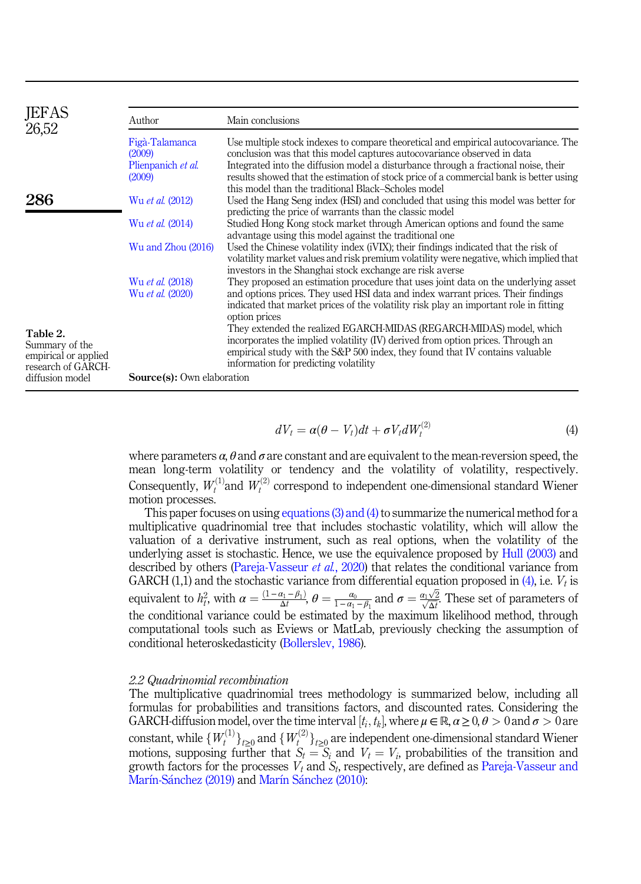<span id="page-4-0"></span>

| JEFAS<br>26,52                         | Author                            | Main conclusions                                                                                                                                                              |
|----------------------------------------|-----------------------------------|-------------------------------------------------------------------------------------------------------------------------------------------------------------------------------|
|                                        | Figà-Talamanca<br>(2009)          | Use multiple stock indexes to compare theoretical and empirical autocovariance. The<br>conclusion was that this model captures autocovariance observed in data                |
|                                        | Plienpanich et al.                | Integrated into the diffusion model a disturbance through a fractional noise, their                                                                                           |
|                                        | (2009)                            | results showed that the estimation of stock price of a commercial bank is better using                                                                                        |
|                                        |                                   | this model than the traditional Black-Scholes model                                                                                                                           |
| 286                                    | Wu et al. (2012)                  | Used the Hang Seng index (HSI) and concluded that using this model was better for                                                                                             |
|                                        |                                   | predicting the price of warrants than the classic model                                                                                                                       |
|                                        | Wu et al. (2014)                  | Studied Hong Kong stock market through American options and found the same<br>advantage using this model against the traditional one                                          |
|                                        | Wu and Zhou (2016)                | Used the Chinese volatility index (iVIX); their findings indicated that the risk of<br>volatility market values and risk premium volatility were negative, which implied that |
|                                        |                                   | investors in the Shanghai stock exchange are risk averse                                                                                                                      |
|                                        | Wu et al. (2018)                  | They proposed an estimation procedure that uses joint data on the underlying asset                                                                                            |
|                                        | Wu et al. (2020)                  | and options prices. They used HSI data and index warrant prices. Their findings                                                                                               |
|                                        |                                   | indicated that market prices of the volatility risk play an important role in fitting<br>option prices                                                                        |
| Table 2.                               |                                   | They extended the realized EGARCH-MIDAS (REGARCH-MIDAS) model, which                                                                                                          |
| Summary of the<br>empirical or applied |                                   | incorporates the implied volatility (IV) derived from option prices. Through an<br>empirical study with the S&P 500 index, they found that IV contains valuable               |
| research of GARCH-                     |                                   | information for predicting volatility                                                                                                                                         |
| diffusion model                        | <b>Source(s):</b> Own elaboration |                                                                                                                                                                               |

$$
dV_t = \alpha(\theta - V_t)dt + \sigma V_t dW_t^{(2)}
$$
\n(4)

<span id="page-4-1"></span>where parameters  $\alpha$ ,  $\theta$  and  $\sigma$  are constant and are equivalent to the mean-reversion speed, the mean long-term volatility or tendency and the volatility of volatility, respectively. Consequently,  $W_t^{(1)}$  and  $W_t^{(2)}$  correspond to independent one-dimensional standard Wiener motion processes.

This paper focuses on using [equations \(3\) and \(4\)](#page-3-1) to summarize the numerical method for a multiplicative quadrinomial tree that includes stochastic volatility, which will allow the valuation of a derivative instrument, such as real options, when the volatility of the underlying asset is stochastic. Hence, we use the equivalence proposed by [Hull \(2003\)](#page-15-14) and described by others [\(Pareja-Vasseur](#page-16-11) *et al.*, 2020) that relates the conditional variance from GARCH (1,1) and the stochastic variance from differential equation proposed in [\(4\)](#page-4-1), i.e.  $V_t$  is equivalent to  $h_i^2$ , with  $\alpha = \frac{(1 - \alpha_1 - \beta_1)}{\Delta t}$ ,  $\theta = \frac{a_0}{1 - \alpha_1 - \beta_1}$  and  $\sigma = \frac{\alpha_1 \sqrt{2}}{\Delta t}$  $\frac{\alpha_1\sqrt{2}}{\sqrt{\Delta t}}$ . These set of parameters of the conditional variance could be estimated by the maximum likelihood method, through computational tools such as Eviews or MatLab, previously checking the assumption of conditional heteroskedasticity ([Bollerslev, 1986\)](#page-14-9).

## 2.2 Quadrinomial recombination

The multiplicative quadrinomial trees methodology is summarized below, including all formulas for probabilities and transitions factors, and discounted rates. Considering the GARCH-diffusion model, over the time interval  $[t_i, t_k]$ , where  $\mu \in \mathbb{R}$ ,  $\alpha \geq 0$ ,  $\theta > 0$  and  $\sigma > 0$  are constant, while  $\{W_t^{(1)}\}_{t\geq0}$  and  $\{W_t^{(2)}\}_{t\geq0}$  are independent one-dimensional standard Wiener motions, supposing further that  $S_t = S_t$  and  $V_t = V_t$  probabilities of the transition and motions, supposing further that  $S_t = S_i$  and  $V_t = V_i$ , probabilities of the transition and growth factors for the processes  $V_i$  and  $S_i$  respectively are defined as Pareja-Vasseur and growth factors for the processes  $V_t$  and  $S_t$ , respectively, are defined as [Pareja-Vasseur and](#page-16-12) [Mar](#page-16-13)í[n-S](#page-16-12)á[nchez \(2019\)](#page-16-12) and Marí[n S](#page-16-13)ánchez (2010):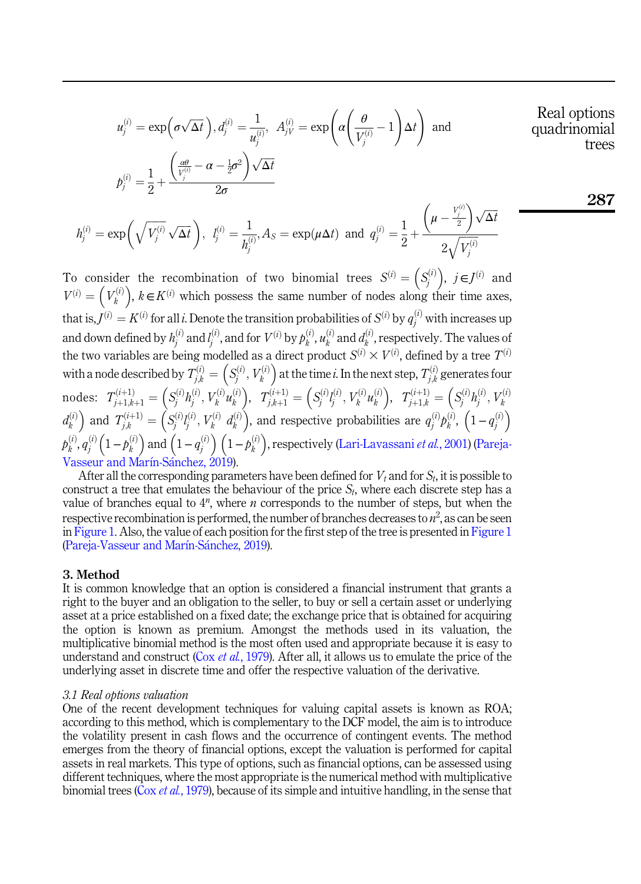$$
u_j^{(i)} = \exp\left(\sigma\sqrt{\Delta t}\right), d_j^{(i)} = \frac{1}{u_j^{(i)}}, A_{jV}^{(i)} = \exp\left(\alpha\left(\frac{\theta}{V_j^{(i)}} - 1\right)\Delta t\right) \text{ and}
$$
Real options  
quadrinomial trees

Real options

287

$$
p_j^{(i)} = \frac{1}{2} + \frac{\left(\frac{\alpha\theta}{V_j^{(i)}} - \alpha - \frac{1}{2}\sigma^2\right)\sqrt{\Delta t}}{2\sigma}
$$

$$
h_j^{(i)} = \exp\left(\sqrt{V_j^{(i)}}\sqrt{\Delta t}\right), \ \ l_j^{(i)} = \frac{1}{h_j^{(i)}}, A_S = \exp(\mu \Delta t) \ \text{ and } \ q_j^{(i)} = \frac{1}{2} + \frac{\left(\mu - \frac{V_j^{(i)}}{2}\right)\sqrt{\Delta t}}{2\sqrt{V_j^{(i)}}}
$$

To consider the recombination of two binomial trees  $S^{(i)} = \left(S_j^{(i)}\right), j \in J^{(i)}$  and  $V^{(i)} = \left(V_k^{(i)}\right), k \in K^{(i)}$  which possess the same number of nodes along their time axes, that is,  $J^{(i)} = K^{(i)}$  for all i. Denote the transition probabilities of  $S^{(i)}$  by  $q_j^{(i)}$  with increases up and down defined by  $h_j^{(i)}$  and  $l_j^{(i)}$ , and for  $V^{(i)}$  by  $p_k^{(i)}$ ,  $u_k^{(i)}$  and  $d_k^{(i)}$ , respectively. The values of the two variables are being modelled as a direct product  $S^{(i)} \times V^{(i)}$ , defined by a tree  $T^{(i)}$ with a node described by  $T_{j,k}^{(i)} =$  $(S_j^{(i)}, V_k^{(i)})$  at the time *i*. In the next step,  $T_{j,k}^{(i)}$  generates four nodes:  $T_{j+1,k+1}^{(i+1)} =$  $\left(S_j^{(i)}h_j^{(i)}, V_k^{(i)}u_k^{(i)}\right), \quad T_{j,k+1}^{(i+1)} =$  $\left(S_j^{(i)} l_j^{(i)}, V_k^{(i)} u_k^{(i)}\right), \quad T_{j+1,k}^{(i+1)} =$  $\left(S_j^{(i)}h_j^{(i)}, V_k^{(i)}\right)$  $d_k^{(i)}$  and  $T_{j,k}^{(i+1)} =$  $\left(S_j^{(i)} l_j^{(i)}, V_k^{(i)} d_k^{(i)}\right)$ , and respective probabilities are  $q_j^{(i)} p_k^{(i)}, \left(1-q_j^{(i)}\right)$  $\phi_k^{(i)},q_j^{(i)}\Big(1-\rho_k^{(i)}\Big)$  and  $\Big(1-q_j^{(i)}\Big)\,\Big(1-\rho_k^{(i)}\Big),$  respectively ([Lari-Lavassani](#page-16-14) *et al.*, 2001) ([Pareja-](#page-16-12)[Vasseur and Mar](#page-16-12)í[n-S](#page-16-12)á[nchez, 2019](#page-16-12)).

After all the corresponding parameters have been defined for  $V_t$  and for  $S_t$ , it is possible to construct a tree that emulates the behaviour of the price  $S_t$ , where each discrete step has a value of branches equal to  $4^n$ , where *n* corresponds to the number of steps, but when the respective recombination is performed, the number of branches decreases to  $n^2$ , as can be seen in [Figure 1](#page-6-0). Also, the value of each position for the first step of the tree is presented in [Figure 1](#page-6-0) ([Pareja-Vasseur and Mar](#page-16-12)í[n-S](#page-16-12)á[nchez, 2019\)](#page-16-12).

#### <span id="page-5-0"></span>3. Method

It is common knowledge that an option is considered a financial instrument that grants a right to the buyer and an obligation to the seller, to buy or sell a certain asset or underlying asset at a price established on a fixed date; the exchange price that is obtained for acquiring the option is known as premium. Amongst the methods used in its valuation, the multiplicative binomial method is the most often used and appropriate because it is easy to understand and construct (Cox *et al.*[, 1979](#page-15-15)). After all, it allows us to emulate the price of the underlying asset in discrete time and offer the respective valuation of the derivative.

#### 3.1 Real options valuation

One of the recent development techniques for valuing capital assets is known as ROA; according to this method, which is complementary to the DCF model, the aim is to introduce the volatility present in cash flows and the occurrence of contingent events. The method emerges from the theory of financial options, except the valuation is performed for capital assets in real markets. This type of options, such as financial options, can be assessed using different techniques, where the most appropriate is the numerical method with multiplicative binomial trees ( $\cos \theta$  *et al.*[, 1979\)](#page-15-15), because of its simple and intuitive handling, in the sense that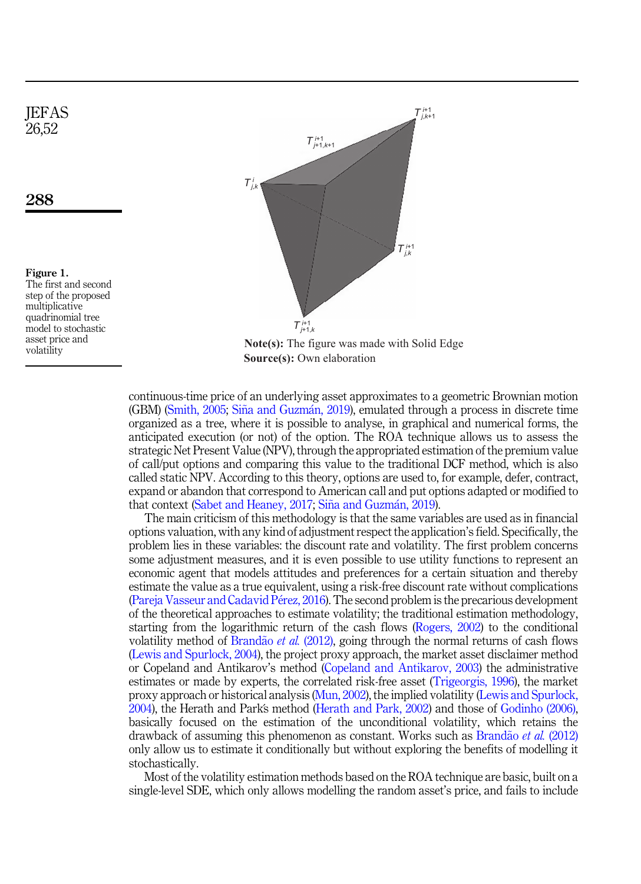<span id="page-6-0"></span>**IEFAS** 26,52



Figure 1. The first and second step of the proposed multiplicative quadrinomial tree model to stochastic asset price and volatility



**Note(s):** The figure was made with Solid Edge **Source(s):** Own elaboration

continuous-time price of an underlying asset approximates to a geometric Brownian motion  $(GBM)$  [\(Smith, 2005;](#page-17-11) [Sina and Guzm](#page-17-12)[an, 2019](#page-17-12)), emulated through a process in discrete time organized as a tree, where it is possible to analyse, in graphical and numerical forms, the anticipated execution (or not) of the option. The ROA technique allows us to assess the strategic Net Present Value (NPV), through the appropriated estimation of the premium value of call/put options and comparing this value to the traditional DCF method, which is also called static NPV. According to this theory, options are used to, for example, defer, contract, expand or abandon that correspond to American call and put options adapted or modified to that context ([Sabet and Heaney, 2017;](#page-16-2) Siña and Guzmá[n, 2019\)](#page-17-12).

The main criticism of this methodology is that the same variables are used as in financial options valuation, with any kind of adjustment respect the application's field. Specifically, the problem lies in these variables: the discount rate and volatility. The first problem concerns some adjustment measures, and it is even possible to use utility functions to represent an economic agent that models attitudes and preferences for a certain situation and thereby estimate the value as a true equivalent, using a risk-free discount rate without complications ([Pareja Vasseur and Cadavid P](#page-16-15)[erez, 2016\)](#page-16-15). The second problem is the precarious development of the theoretical approaches to estimate volatility; the traditional estimation methodology, starting from the logarithmic return of the cash flows ([Rogers, 2002\)](#page-16-16) to the conditional volatility method of [Brand](#page-14-10)ão et al. [\(2012\)](#page-14-10), going through the normal returns of cash flows ([Lewis and Spurlock, 2004](#page-16-17)), the project proxy approach, the market asset disclaimer method or Copeland and Antikarov's method ([Copeland and Antikarov, 2003\)](#page-15-16) the administrative estimates or made by experts, the correlated risk-free asset [\(Trigeorgis, 1996\)](#page-17-0), the market proxy approach or historical analysis ([Mun, 2002\)](#page-16-0), the implied volatility [\(Lewis and Spurlock,](#page-16-17) [2004\)](#page-16-17), the Herath and Parks method [\(Herath and Park, 2002\)](#page-15-17) and those of [Godinho \(2006\)](#page-15-18), basically focused on the estimation of the unconditional volatility, which retains the drawback of assuming this phenomenon as constant. Works such as [Brand](#page-14-10)ão et al.  $(2012)$ only allow us to estimate it conditionally but without exploring the benefits of modelling it stochastically.

Most of the volatility estimation methods based on the ROA technique are basic, built on a single-level SDE, which only allows modelling the random asset's price, and fails to include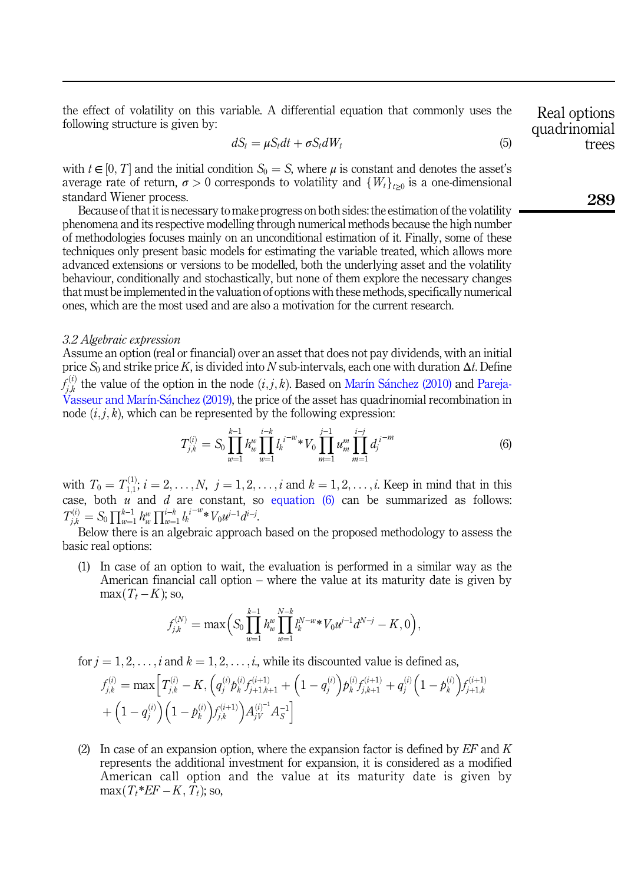<span id="page-7-1"></span>the effect of volatility on this variable. A differential equation that commonly uses the following structure is given by:

$$
dS_t = \mu S_t dt + \sigma S_t dW_t \tag{5}
$$

with  $t \in [0, T]$  and the initial condition  $S_0 = S$ , where  $\mu$  is constant and denotes the asset's average rate of return,  $\sigma > 0$  corresponds to volatility and  $\{W_t\}_{t>0}$  is a one-dimensional standard Wiener process.

Because of that it is necessary to make progress on both sides: the estimation of the volatility phenomena and its respective modelling through numerical methods because the high number of methodologies focuses mainly on an unconditional estimation of it. Finally, some of these techniques only present basic models for estimating the variable treated, which allows more advanced extensions or versions to be modelled, both the underlying asset and the volatility behaviour, conditionally and stochastically, but none of them explore the necessary changes that must be implemented in the valuation of options with these methods, specifically numerical ones, which are the most used and are also a motivation for the current research.

#### 3.2 Algebraic expression

<span id="page-7-0"></span>Assume an option (real or financial) over an asset that does not pay dividends, with an initial price  $S_0$  and strike price K, is divided into N sub-intervals, each one with duration  $\Delta t$ . Define  $f_{j,k}^{(i)}$  the value of the option in the node  $(i, j, k)$ . Based on [Mar](#page-16-13)í[n S](#page-16-13)á[nchez \(2010\)](#page-16-13) and Pareja-<br>[Vasseur and Mar](#page-16-12)í[n-S](#page-16-12)ánchez (2019), the price of the asset has quadrinomial recombination in node  $(i, j, k)$ , which can be represented by the following expression:

$$
T_{j,k}^{(i)} = S_0 \prod_{w=1}^{k-1} h_w^w \prod_{w=1}^{i-k} l_k^{i-w} * V_0 \prod_{m=1}^{j-1} u_m^m \prod_{m=1}^{i-j} d_j^{i-m} \tag{6}
$$

with  $T_0 = T_{1,1}^{(1)}$ ;  $i = 2, ..., N$ ,  $j = 1, 2, ..., i$  and  $k = 1, 2, ..., i$ . Keep in mind that in this case, both u and d are constant, so [equation \(6\)](#page-7-0) can be summarized as follows:  $T_{j,k}^{(i)} = S_0 \prod_{w=1}^{k-1} h_w^w \prod_{w=1}^{i-k} l_k^{i-w} * V_0 w^{i-1} d^{i-j}$ <br>Below there is an algebraic approac .

Below there is an algebraic approach based on the proposed methodology to assess the basic real options:

(1) In case of an option to wait, the evaluation is performed in a similar way as the American financial call option – where the value at its maturity date is given by  $max(T_t - K)$ ; so,

$$
f_{j,k}^{(N)} = \max\Big(S_0 \prod_{w=1}^{k-1} h_w^w \prod_{w=1}^{N-k} l_k^{N-w*} V_0 u^{j-1} d^{N-j} - K, 0\Big),
$$

for  $j = 1, 2, \ldots, i$  and  $k = 1, 2, \ldots, i$ , while its discounted value is defined as,

$$
f_{j,k}^{(i)} = \max \left[ T_{j,k}^{(i)} - K, \left( q_j^{(i)} p_k^{(i)} f_{j+1,k+1}^{(i+1)} + \left( 1 - q_j^{(i)} \right) p_k^{(i)} f_{j,k+1}^{(i+1)} + q_j^{(i)} \left( 1 - p_k^{(i)} \right) f_{j+1,k}^{(i+1)} \right) + \left( 1 - q_j^{(i)} \right) \left( 1 - p_k^{(i)} \right) f_{j,k}^{(i+1)} \right) A_{jV}^{(i)-1} A_S^{-1}
$$

(2) In case of an expansion option, where the expansion factor is defined by  $EF$  and  $K$ represents the additional investment for expansion, it is considered as a modified American call option and the value at its maturity date is given by  $\max(T_t * EF - K, T_t)$ ; so,

quadrinomial trees

Real options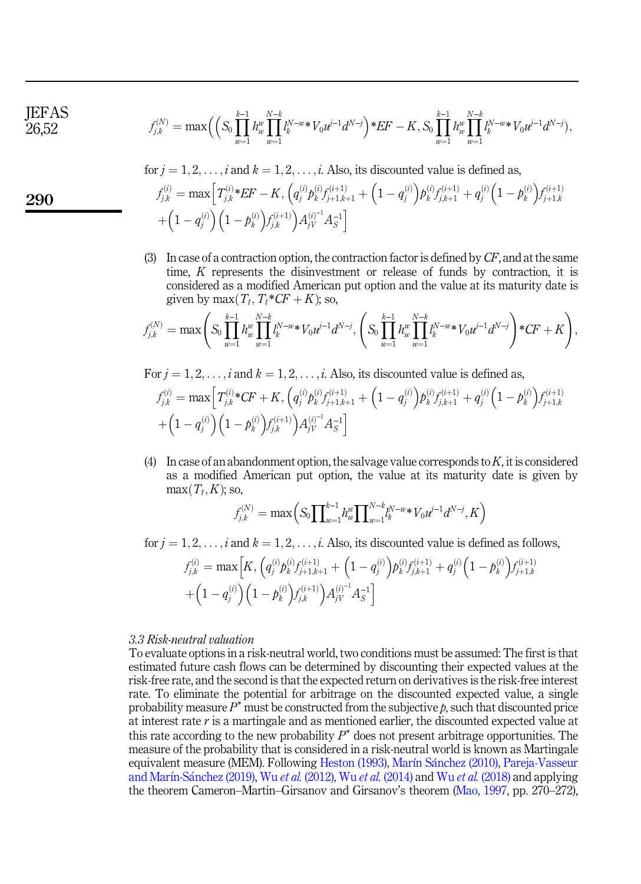**IEFAS** 26,52

$$
f_{j,k}^{(N)} = \max \Big( \Big( S_0 \prod_{w=1}^{k-1} h_w^w \prod_{w=1}^{N-k} l_k^{N-w*} V_0 t^{j-1} d^{N-j} \Big)^\ast E F - K, \nonumber \\ S_0 \prod_{w=1}^{k-1} h_w^w \prod_{w=1}^{N-k} l_k^{N-w*} V_0 t^{j-1} d^{N-j} \Big),
$$

for  $j = 1, 2, \ldots, i$  and  $k = 1, 2, \ldots, i$ . Also, its discounted value is defined as,

$$
f_{j,k}^{(i)} = \max \left[ T_{j,k}^{(i)} * EF - K, \left( q_j^{(i)} p_k^{(i)} f_{j+1,k+1}^{(i+1)} + \left( 1 - q_j^{(i)} \right) p_k^{(i)} f_{j,k+1}^{(i+1)} + q_j^{(i)} \left( 1 - p_k^{(i)} \right) f_{j+1,k}^{(i+1)} \right) + \left( 1 - q_j^{(i)} \right) \left( 1 - p_k^{(i)} \right) f_{j,k}^{(i+1)} \right) A_{jV}^{(i)-1} A_S^{-1}
$$

(3) In case of a contraction option, the contraction factor is defined by  $CF$ , and at the same time, K represents the disinvestment or release of funds by contraction, it is considered as a modified American put option and the value at its maturity date is given by max $(T_t, T_t * C\mathbf{F} + \mathbf{K})$ ; so,

$$
f_{j,k}^{(N)} = \max\left(S_0 \prod_{w=1}^{k-1} h_w^w \prod_{w=1}^{N-k} l_k^{N-w} \cdot V_0 u^{j-1} d^{N-j}, \left(S_0 \prod_{w=1}^{k-1} h_w^w \prod_{w=1}^{N-k} l_k^{N-w} \cdot V_0 u^{j-1} d^{N-j}\right) \cdot CF + K\right),
$$

For  $j = 1, 2, \ldots, i$  and  $k = 1, 2, \ldots, i$ . Also, its discounted value is defined as,

$$
f_{j,k}^{(i)} = \max \left[ T_{j,k}^{(i)} * CF + K, \left( q_j^{(i)} p_k^{(i)} f_{j+1,k+1}^{(i+1)} + \left( 1 - q_j^{(i)} \right) p_k^{(i)} f_{j,k+1}^{(i+1)} + q_j^{(i)} \left( 1 - p_k^{(i)} \right) f_{j+1,k}^{(i+1)} \right) + \left( 1 - q_j^{(i)} \right) \left( 1 - p_k^{(i)} \right) f_{j,k}^{(i+1)} \right) A_{jV}^{(i)} A_S^{-1}
$$

(4) In case of an abandonment option, the salvage value corresponds to  $K$ , it is considered as a modified American put option, the value at its maturity date is given by  $max(T_t, K)$ ; so,

$$
f_{j,k}^{(N)} = \max\left(S_0 \prod_{w=1}^{k-1} h_w^w \prod_{w=1}^{N-k} l_k^{N-w*} V_0 u^{j-1} d^{N-j}, K\right)
$$

for  $j = 1, 2, \ldots, i$  and  $k = 1, 2, \ldots, i$ . Also, its discounted value is defined as follows,

$$
f_{j,k}^{(i)} = \max \Big[ K, \Big( q_j^{(i)} p_k^{(i)} f_{j+1,k+1}^{(i+1)} + \Big( 1 - q_j^{(i)} \Big) p_k^{(i)} f_{j,k+1}^{(i+1)} + q_j^{(i)} \Big( 1 - p_k^{(i)} \Big) f_{j+1,k}^{(i+1)} + \Big( 1 - q_j^{(i)} \Big) \Big( 1 - p_k^{(i)} \Big) f_{j,k}^{(i+1)} \Big) A_{jV}^{(i)} A_S^{-1} \Big]
$$

#### 3.3 Risk-neutral valuation

To evaluate options in a risk-neutral world, two conditions must be assumed: The first is that estimated future cash flows can be determined by discounting their expected values at the risk-free rate, and the second is that the expected return on derivatives is the risk-free interest rate. To eliminate the potential for arbitrage on the discounted expected value, a single probability measure  $P^*$  must be constructed from the subjective  $p$ , such that discounted price at interest rate  $r$  is a martingale and as mentioned earlier, the discounted expected value at this rate according to the new probability  $P^*$  does not present arbitrage opportunities. The measure of the probability that is considered in a risk-neutral world is known as Martingale equivalent measure (MEM). Following [Heston \(1993\),](#page-15-3) [Mar](#page-16-13)ı[n S](#page-16-13)a[nchez \(2010\)](#page-16-13), [Pareja-Vasseur](#page-16-12) [and Mar](#page-16-12)í[n-S](#page-16-12)ánchez (2019), Wu et al. [\(2012\)](#page-17-3), Wu et al. [\(2014\)](#page-17-4) and Wu et al. [\(2018\)](#page-17-5) and applying the theorem Cameron–Martin–Girsanov and Girsanov's theorem [\(Mao, 1997](#page-16-18), pp. 270–272),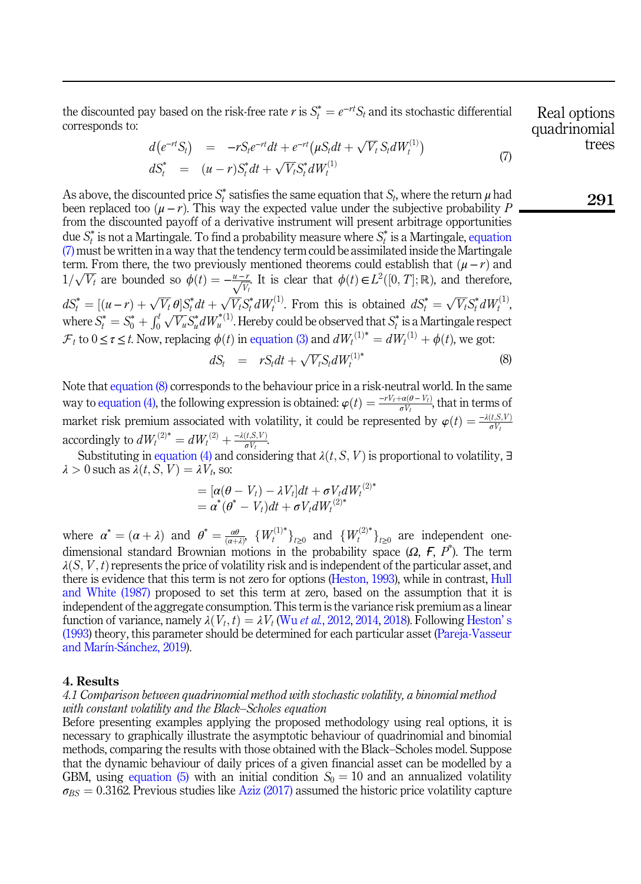<span id="page-9-1"></span>the discounted pay based on the risk-free rate r is  $S_t^* = e^{-rt}S_t$  and its stochastic differential corresponds to: corresponds to:

$$
d(e^{-rt}S_t) = -rS_t e^{-rt} dt + e^{-rt} (\mu S_t dt + \sqrt{V_t} S_t dW_t^{(1)})
$$
  
\n
$$
dS_t^* = (u - r) S_t^* dt + \sqrt{V_t} S_t^* dW_t^{(1)}
$$
\n(7)

As above, the discounted price  $S_t^*$  satisfies the same equation that  $S_t$ , where the return  $\mu$  had been replaced too  $(\mu - r)$ . This way the expected value under the subjective probability P from the discounted payoff of a derivative instrument will present arbitrage opportunities due  $S_t^*$  is not a Martingale. To find a probability measure where  $S_t^*$  is a Martingale, [equation](#page-9-1)  $(7)$  must be written in a way that the tendency term could be assimilated inside the Martingale term. From there, the two previously mentioned theorems could establish that  $(\mu - r)$  and  $1/\sqrt{V_t}$  are bounded so  $\phi(t) = -\frac{u-r}{\sqrt{V_t}}$ . It is clear that  $\phi(t) \in L^2([0, T]; \mathbb{R})$ , and therefore,  $dS_t^* = [(u-r) + \sqrt{V_t} \theta] S_t^* dt + \sqrt{V_t} S_t^* dW_t^{(1)}$ . From this is obtained  $dS_t^* = \sqrt{V_t} S_t^* dW_t^{(1)}$ where  $S_t^* = S_0^* + \int_0^t \sqrt{V_u} S_u^* dW_u^{*(1)}$ . Hereby could be observed that  $S_t^*$  is a Martingale respect  $\mathcal{F}_t$  to  $0 \leq \epsilon \leq t$ . Now explains  $\phi(t)$  in equation (2) and  $dW^{(1)*} = dW^{(1)} + \phi(t)$  we get  $\mathcal{F}_t$  to  $0 \le \tau \le t$ . Now, replacing  $\phi(t)$  in [equation \(3\)](#page-3-1) and  $dW_t^{(1)*} = dW_t^{(1)} + \phi(t)$ , we got:

$$
dS_t = rS_t dt + \sqrt{V_t} S_t dW_t^{(1)*} \tag{8}
$$

<span id="page-9-2"></span>Note that [equation \(8\)](#page-9-2) corresponds to the behaviour price in a risk-neutral world. In the same way to [equation \(4\),](#page-4-1) the following expression is obtained:  $\varphi(t) = \frac{-rV_t + \alpha(\theta - V_t)}{\sigma V_t}$ , that in terms of market risk premium associated with volatility, it could be represented by  $\varphi(t) = \frac{-\lambda(t, S, V)}{\sigma V_t}$ accordingly to  $dW_t^{(2)*} = dW_t^{(2)} + \frac{-\lambda(t, S, V)}{\sigma V_t}$ .<br>Substituting in equation (4) and consider

Substituting in [equation \(4\)](#page-4-1) and considering that  $\lambda(t, S, V)$  is proportional to volatility, ∃  $\lambda > 0$  such as  $\lambda(t, S, V) = \lambda V_t$ , so:

$$
= [\alpha(\theta - V_t) - \lambda V_t]dt + \sigma V_t dW_t^{(2)*}
$$
  
=  $\alpha^*(\theta^* - V_t)dt + \sigma V_t dW_t^{(2)*}$ 

where  $\alpha^* = (\alpha + \lambda)$  and  $\theta^* = \frac{d\theta}{(\alpha + \lambda)}$ ,  $\{W_t^{(1)*}\}_{t \geq 0}$  and  $\{W_t^{(2)*}\}_{t \geq 0}$  are independent one-<br>dimensional standard Prouning motions in the probability appear (O. 5,  $B^*$ ). The term dimensional standard Brownian motions in the probability space ( $\Omega$ ,  $\overline{F}$ ,  $P^*$ ). The term  $\lambda(S, V, t)$  represents the price of volatility risk and is independent of the particular asset, and there is evidence that this term is not zero for options [\(Heston, 1993\)](#page-15-3), while in contrast, [Hull](#page-15-2) [and White \(1987\)](#page-15-2) proposed to set this term at zero, based on the assumption that it is independent of the aggregate consumption. This term is the variance risk premium as a linear function of variance, namely  $\lambda(V_t, t) = \lambda V_t$  (Wu *et al.*[, 2012,](#page-17-3) [2014](#page-17-4), [2018](#page-17-5)). Following [Heston](#page-15-3)'s [\(1993](#page-15-3)) theory, this parameter should be determined for each particular asset ([Pareja-Vasseur](#page-16-12) [and Mar](#page-16-12)í[n-S](#page-16-12)á[nchez, 2019](#page-16-12)).

#### <span id="page-9-0"></span>4. Results

# 4.1 Comparison between quadrinomial method with stochastic volatility, a binomial method with constant volatility and the Black–Scholes equation

Before presenting examples applying the proposed methodology using real options, it is necessary to graphically illustrate the asymptotic behaviour of quadrinomial and binomial methods, comparing the results with those obtained with the Black–Scholes model. Suppose that the dynamic behaviour of daily prices of a given financial asset can be modelled by a GBM, using [equation \(5\)](#page-7-1) with an initial condition  $S_0 = 10$  and an annualized volatility  $\sigma_{BS} = 0.3162$ . Previous studies like [Aziz \(2017\)](#page-14-11) assumed the historic price volatility capture

Real options quadrinomial trees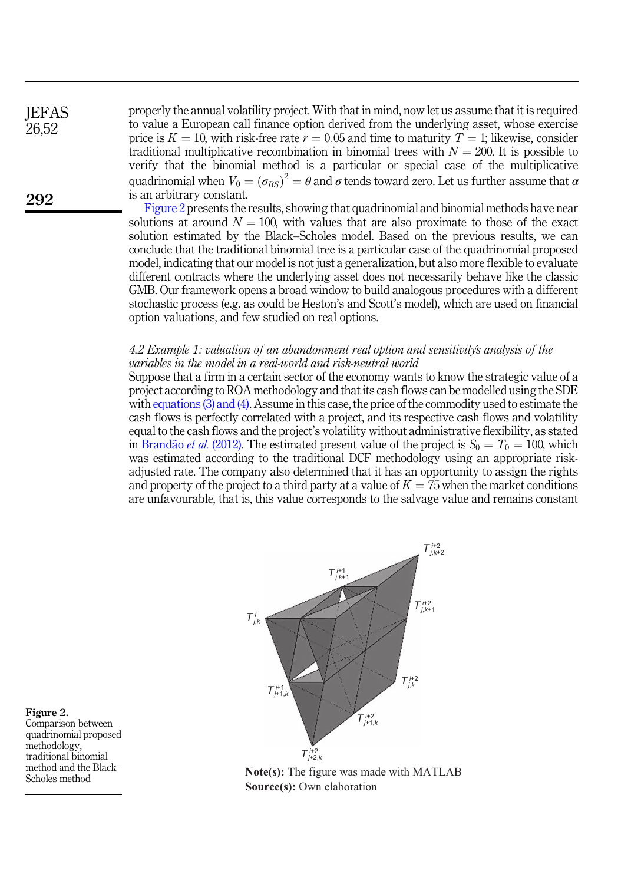**IEFAS** 26,52

292

properly the annual volatility project. With that in mind, now let us assume that it is required to value a European call finance option derived from the underlying asset, whose exercise price is  $K = 10$ , with risk-free rate  $r = 0.05$  and time to maturity  $T = 1$ ; likewise, consider traditional multiplicative recombination in binomial trees with  $N = 200$ . It is possible to verify that the binomial method is a particular or special case of the multiplicative quadrinomial when  $V_0 = (\sigma_{BS})^2 = \theta$  and  $\sigma$  tends toward zero. Let us further assume that  $\alpha$  is an arbitrary constant. is an arbitrary constant.

Figure 2 presents the results, showing that quadrinomial and binomial methods have near solutions at around  $N = 100$ , with values that are also proximate to those of the exact solution estimated by the Black–Scholes model. Based on the previous results, we can conclude that the traditional binomial tree is a particular case of the quadrinomial proposed model, indicating that our model is not just a generalization, but also more flexible to evaluate different contracts where the underlying asset does not necessarily behave like the classic GMB. Our framework opens a broad window to build analogous procedures with a different stochastic process (e.g. as could be Heston's and Scott's model), which are used on financial option valuations, and few studied on real options.

# 4.2 Example 1: valuation of an abandonment real option and sensitivitys analysis of the variables in the model in a real-world and risk-neutral world

Suppose that a firm in a certain sector of the economy wants to know the strategic value of a project according to ROA methodology and that its cash flows can be modelled using the SDE with [equations \(3\) and \(4\).](#page-3-1) Assume in this case, the price of the commodity used to estimate the cash flows is perfectly correlated with a project, and its respective cash flows and volatility equal to the cash flows and the project's volatility without administrative flexibility, as stated in [Brand](#page-14-10)ão et al. [\(2012\).](#page-14-10) The estimated present value of the project is  $S_0 = T_0 = 100$ , which was estimated according to the traditional DCF methodology using an appropriate riskadjusted rate. The company also determined that it has an opportunity to assign the rights and property of the project to a third party at a value of  $K = 75$  when the market conditions are unfavourable, that is, this value corresponds to the salvage value and remains constant



**Note(s):** The figure was made with MATLAB **Source(s):** Own elaboration

Figure 2. Comparison between quadrinomial proposed methodology, traditional binomial method and the Black– Scholes method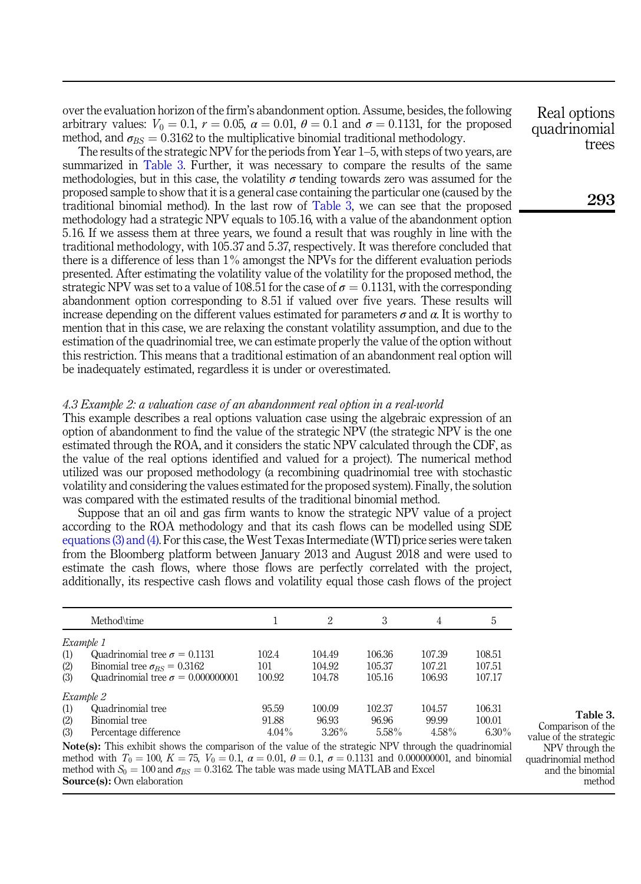over the evaluation horizon of the firm's abandonment option. Assume, besides, the following arbitrary values:  $V_0 = 0.1$ ,  $r = 0.05$ ,  $\alpha = 0.01$ ,  $\theta = 0.1$  and  $\sigma = 0.1131$ , for the proposed method, and  $\sigma_{BS} = 0.3162$  to the multiplicative binomial traditional methodology.

The results of the strategic NPV for the periods from Year 1–5, with steps of two years, are summarized in Table 3. Further, it was necessary to compare the results of the same methodologies, but in this case, the volatility  $\sigma$  tending towards zero was assumed for the proposed sample to show that it is a general case containing the particular one (caused by the traditional binomial method). In the last row of Table 3, we can see that the proposed methodology had a strategic NPV equals to 105:16, with a value of the abandonment option 5:16. If we assess them at three years, we found a result that was roughly in line with the traditional methodology, with 105:37 and 5:37, respectively. It was therefore concluded that there is a difference of less than 1% amongst the NPVs for the different evaluation periods presented. After estimating the volatility value of the volatility for the proposed method, the strategic NPV was set to a value of 108.51 for the case of  $\sigma = 0.1131$ , with the corresponding abandonment option corresponding to 8:51 if valued over five years. These results will increase depending on the different values estimated for parameters  $\sigma$  and  $\alpha$ . It is worthy to mention that in this case, we are relaxing the constant volatility assumption, and due to the estimation of the quadrinomial tree, we can estimate properly the value of the option without this restriction. This means that a traditional estimation of an abandonment real option will be inadequately estimated, regardless it is under or overestimated.

#### 4.3 Example 2: a valuation case of an abandonment real option in a real-world

This example describes a real options valuation case using the algebraic expression of an option of abandonment to find the value of the strategic NPV (the strategic NPV is the one estimated through the ROA, and it considers the static NPV calculated through the CDF, as the value of the real options identified and valued for a project). The numerical method utilized was our proposed methodology (a recombining quadrinomial tree with stochastic volatility and considering the values estimated for the proposed system). Finally, the solution was compared with the estimated results of the traditional binomial method.

Suppose that an oil and gas firm wants to know the strategic NPV value of a project according to the ROA methodology and that its cash flows can be modelled using SDE [equations \(3\) and \(4\)](#page-3-1). For this case, the West Texas Intermediate (WTI) price series were taken from the Bloomberg platform between January 2013 and August 2018 and were used to estimate the cash flows, where those flows are perfectly correlated with the project, additionally, its respective cash flows and volatility equal those cash flows of the project

|                                                                                                              | Method\time                              |          | 2        | 3      | 4        | 5        |
|--------------------------------------------------------------------------------------------------------------|------------------------------------------|----------|----------|--------|----------|----------|
| Example 1                                                                                                    |                                          |          |          |        |          |          |
| (1)                                                                                                          | Quadrinomial tree $\sigma = 0.1131$      | 102.4    | 104.49   | 106.36 | 107.39   | 108.51   |
| (2)                                                                                                          | Binomial tree $\sigma_{BS} = 0.3162$     | 101      | 104.92   | 105.37 | 107.21   | 107.51   |
| (3)                                                                                                          | Quadrinomial tree $\sigma = 0.000000001$ | 100.92   | 104.78   | 105.16 | 106.93   | 107.17   |
| Example 2                                                                                                    |                                          |          |          |        |          |          |
| (1)                                                                                                          | Quadrinomial tree                        | 95.59    | 100.09   | 102.37 | 104.57   | 106.31   |
| (2)                                                                                                          | Binomial tree                            | 91.88    | 96.93    | 96.96  | 99.99    | 100.01   |
| (3)                                                                                                          | Percentage difference                    | $4.04\%$ | $3.26\%$ | 5.58%  | $4.58\%$ | $6.30\%$ |
| <b>Note(s):</b> This exhibit shows the comparison of the value of the strategic NPV through the quadrinomial |                                          |          |          |        |          |          |

method with  $T_0 = 100$ ,  $K = 75$ ,  $V_0 = 0.1$ ,  $\alpha = 0.01$ ,  $\theta = 0.1$ ,  $\sigma = 0.1131$  and 0.000000001, and binomial method with  $S_0 = 100$  and  $\sigma_{\text{BS}} = 0.3162$ . The table was made using MATLAB and Excel method with  $S_0 = 100$  and  $\sigma_{BS} = 0.3162$ . The table was made using MATLAB and Excel Source(s): Own elaboration

Real options quadrinomial trees

293

Table 3.

Comparison of the value of the strategic NPV through the quadrinomial method and the binomial method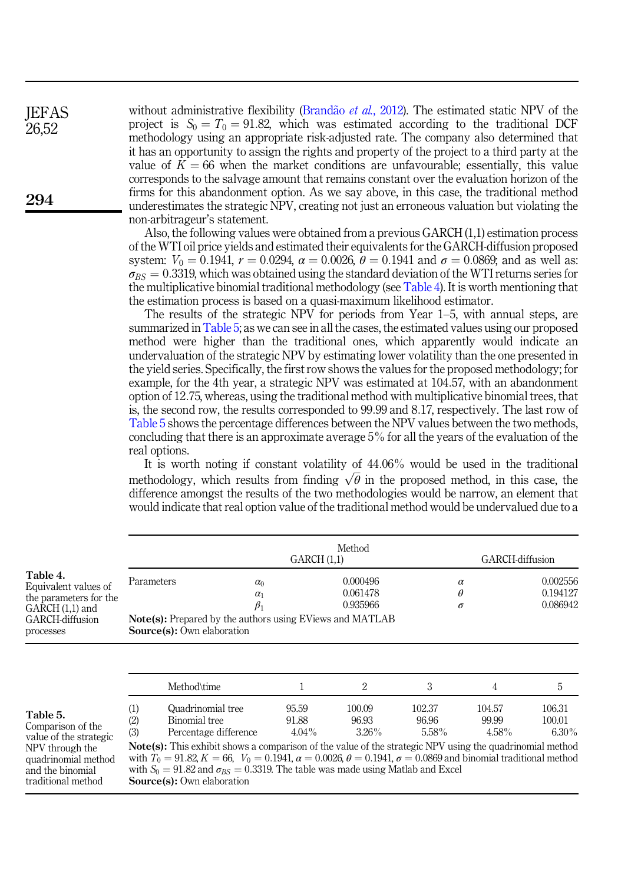without administrative flexibility ([Brand](#page-14-10)ão et al.[, 2012](#page-14-10)). The estimated static NPV of the project is  $S_0 = T_0 = 91.82$ , which was estimated according to the traditional DCF methodology using an appropriate risk-adjusted rate. The company also determined that it has an opportunity to assign the rights and property of the project to a third party at the value of  $K = 66$  when the market conditions are unfavourable; essentially, this value corresponds to the salvage amount that remains constant over the evaluation horizon of the firms for this abandonment option. As we say above, in this case, the traditional method underestimates the strategic NPV, creating not just an erroneous valuation but violating the non-arbitrageur's statement. **IEFAS** 26,52

> Also, the following values were obtained from a previous GARCH (1,1) estimation process of the WTI oil price yields and estimated their equivalents for the GARCH-diffusion proposed system:  $V_0 = 0.1941$ ,  $r = 0.0294$ ,  $\alpha = 0.0026$ ,  $\theta = 0.1941$  and  $\sigma = 0.0869$ ; and as well as:  $\sigma_{BS} = 0.3319$ , which was obtained using the standard deviation of the WTI returns series for the multiplicative binomial traditional methodology (see Table 4). It is worth mentioning that the estimation process is based on a quasi-maximum likelihood estimator.

> The results of the strategic NPV for periods from Year 1–5, with annual steps, are summarized in Table 5; as we can see in all the cases, the estimated values using our proposed method were higher than the traditional ones, which apparently would indicate an undervaluation of the strategic NPV by estimating lower volatility than the one presented in the yield series. Specifically, the first row shows the values for the proposed methodology; for example, for the 4th year, a strategic NPV was estimated at 104:57, with an abandonment option of 12:75, whereas, using the traditional method with multiplicative binomial trees, that is, the second row, the results corresponded to 99:99 and 8:17, respectively. The last row of Table 5 shows the percentage differences between the NPV values between the two methods, concluding that there is an approximate average 5% for all the years of the evaluation of the real options.

> It is worth noting if constant volatility of 44:06% would be used in the traditional methodology, which results from finding  $\sqrt{\theta}$  in the proposed method, in this case, the difference amongst the results of the two methodologies would be narrow, an element that would indicate that real option value of the traditional method would be undervalued due to a

|                                                                                                                                             | Method<br>GARCH(1,1) |                                                                                                                                                                                                                                                                                                                                                                                                                                                                |                            |                                  |                           | GARCH-diffusion             |                                  |
|---------------------------------------------------------------------------------------------------------------------------------------------|----------------------|----------------------------------------------------------------------------------------------------------------------------------------------------------------------------------------------------------------------------------------------------------------------------------------------------------------------------------------------------------------------------------------------------------------------------------------------------------------|----------------------------|----------------------------------|---------------------------|-----------------------------|----------------------------------|
| Table 4.<br>Equivalent values of<br>the parameters for the<br>GARCH (1,1) and<br>GARCH-diffusion<br>processes                               | Parameters           | $\alpha_0$<br>$\alpha_1$<br>$\beta_1$<br><b>Note(s):</b> Prepared by the authors using EViews and MATLAB<br><b>Source(s):</b> Own elaboration                                                                                                                                                                                                                                                                                                                  |                            | 0.000496<br>0.061478<br>0.935966 | $\alpha$<br>θ<br>$\sigma$ |                             | 0.002556<br>0.194127<br>0.086942 |
|                                                                                                                                             |                      | Method\time                                                                                                                                                                                                                                                                                                                                                                                                                                                    |                            | 2                                | 3                         | 4                           | 5                                |
| Table 5.<br>Comparison of the<br>value of the strategic<br>NPV through the<br>quadrinomial method<br>and the binomial<br>traditional method | (1)<br>(2)<br>(3)    | Quadrinomial tree<br>Binomial tree<br>Percentage difference<br><b>Note(s):</b> This exhibit shows a comparison of the value of the strategic NPV using the quadrinomial method<br>with $T_0 = 91.82$ , $K = 66$ , $V_0 = 0.1941$ , $\alpha = 0.0026$ , $\theta = 0.1941$ , $\sigma = 0.0869$ and binomial traditional method<br>with $S_0 = 91.82$ and $\sigma_{RS} = 0.3319$ . The table was made using Matlab and Excel<br><b>Source(s):</b> Own elaboration | 95.59<br>91.88<br>$4.04\%$ | 100.09<br>96.93<br>$3.26\%$      | 102.37<br>96.96<br>5.58%  | 104.57<br>99.99<br>$4.58\%$ | 106.31<br>100.01<br>$6.30\%$     |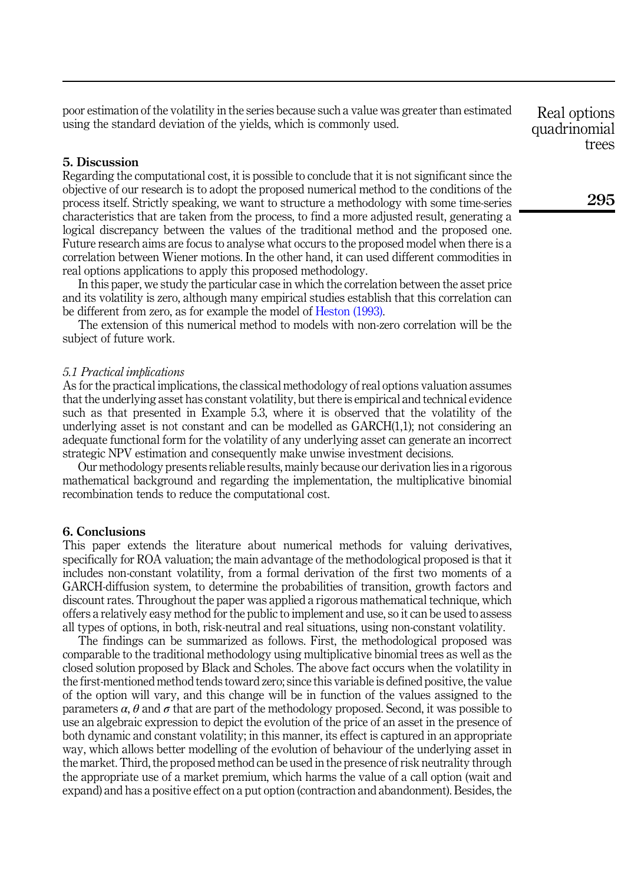poor estimation of the volatility in the series because such a value was greater than estimated using the standard deviation of the yields, which is commonly used.

# <span id="page-13-1"></span>5. Discussion

Regarding the computational cost, it is possible to conclude that it is not significant since the objective of our research is to adopt the proposed numerical method to the conditions of the process itself. Strictly speaking, we want to structure a methodology with some time-series characteristics that are taken from the process, to find a more adjusted result, generating a logical discrepancy between the values of the traditional method and the proposed one. Future research aims are focus to analyse what occurs to the proposed model when there is a correlation between Wiener motions. In the other hand, it can used different commodities in real options applications to apply this proposed methodology.

In this paper, we study the particular case in which the correlation between the asset price and its volatility is zero, although many empirical studies establish that this correlation can be different from zero, as for example the model of [Heston \(1993\).](#page-15-3)

The extension of this numerical method to models with non-zero correlation will be the subject of future work.

### 5.1 Practical implications

As for the practical implications, the classical methodology of real options valuation assumes that the underlying asset has constant volatility, but there is empirical and technical evidence such as that presented in Example 5.3, where it is observed that the volatility of the underlying asset is not constant and can be modelled as GARCH(1,1); not considering an adequate functional form for the volatility of any underlying asset can generate an incorrect strategic NPV estimation and consequently make unwise investment decisions.

Our methodology presents reliable results, mainly because our derivation lies in a rigorous mathematical background and regarding the implementation, the multiplicative binomial recombination tends to reduce the computational cost.

#### <span id="page-13-0"></span>6. Conclusions

This paper extends the literature about numerical methods for valuing derivatives, specifically for ROA valuation; the main advantage of the methodological proposed is that it includes non-constant volatility, from a formal derivation of the first two moments of a GARCH-diffusion system, to determine the probabilities of transition, growth factors and discount rates. Throughout the paper was applied a rigorous mathematical technique, which offers a relatively easy method for the public to implement and use, so it can be used to assess all types of options, in both, risk-neutral and real situations, using non-constant volatility.

The findings can be summarized as follows. First, the methodological proposed was comparable to the traditional methodology using multiplicative binomial trees as well as the closed solution proposed by Black and Scholes. The above fact occurs when the volatility in the first-mentioned method tends toward zero; since this variable is defined positive, the value of the option will vary, and this change will be in function of the values assigned to the parameters  $\alpha$ ,  $\theta$  and  $\sigma$  that are part of the methodology proposed. Second, it was possible to use an algebraic expression to depict the evolution of the price of an asset in the presence of both dynamic and constant volatility; in this manner, its effect is captured in an appropriate way, which allows better modelling of the evolution of behaviour of the underlying asset in the market. Third, the proposed method can be used in the presence of risk neutrality through the appropriate use of a market premium, which harms the value of a call option (wait and expand) and has a positive effect on a put option (contraction and abandonment). Besides, the

Real options quadrinomial trees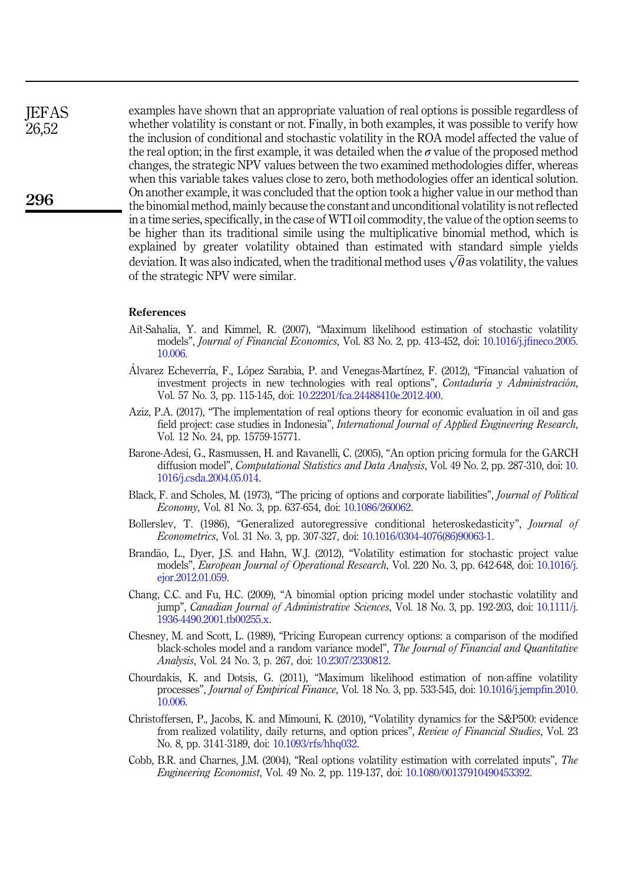examples have shown that an appropriate valuation of real options is possible regardless of whether volatility is constant or not. Finally, in both examples, it was possible to verify how the inclusion of conditional and stochastic volatility in the ROA model affected the value of the real option; in the first example, it was detailed when the  $\sigma$  value of the proposed method changes, the strategic NPV values between the two examined methodologies differ, whereas when this variable takes values close to zero, both methodologies offer an identical solution. On another example, it was concluded that the option took a higher value in our method than the binomial method, mainly because the constant and unconditional volatility is not reflected in a time series, specifically, in the case of WTI oil commodity, the value of the option seems to be higher than its traditional simile using the multiplicative binomial method, which is explained by greater volatility obtained than estimated with standard simple yields deviation. It was also indicated, when the traditional method uses  $\sqrt{\theta}$  as volatility, the values of the strategic NPV were similar.

#### References

- <span id="page-14-8"></span>Ait-Sahalia, Y. and Kimmel, R. (2007), "Maximum likelihood estimation of stochastic volatility models", Journal of Financial Economics, Vol. 83 No. 2, pp. 413-452, doi: [10.1016/j.jfineco.2005.](https://doi.org/10.1016/j.jfineco.2005.10.006) [10.006.](https://doi.org/10.1016/j.jfineco.2005.10.006)
- <span id="page-14-0"></span>Alvarez Echeverría, F., López Sarabia, P. and Venegas-Martínez, F. (2012), "Financial valuation of investment projects in new technologies with real options", Contaduría y Administración, Vol. 57 No. 3, pp. 115-145, doi: [10.22201/fca.24488410e.2012.400](https://doi.org/10.22201/fca.24488410e.2012.400).
- <span id="page-14-11"></span>Aziz, P.A. (2017), "The implementation of real options theory for economic evaluation in oil and gas field project: case studies in Indonesia", *International Journal of Applied Engineering Research*, Vol. 12 No. 24, pp. 15759-15771.
- <span id="page-14-4"></span>Barone-Adesi, G., Rasmussen, H. and Ravanelli, C. (2005), "An option pricing formula for the GARCH diffusion model", *Computational Statistics and Data Analysis*, Vol. 49 No. 2, pp. 287-310, doi: [10.](https://doi.org/10.1016/j.csda.2004.05.014) [1016/j.csda.2004.05.014](https://doi.org/10.1016/j.csda.2004.05.014).
- <span id="page-14-2"></span>Black, F. and Scholes, M. (1973), "The pricing of options and corporate liabilities", Journal of Political Economy, Vol. 81 No. 3, pp. 637-654, doi: [10.1086/260062](https://doi.org/10.1086/260062).
- <span id="page-14-9"></span>Bollerslev, T. (1986), "Generalized autoregressive conditional heteroskedasticity", *Journal of* Econometrics, Vol. 31 No. 3, pp. 307-327, doi: [10.1016/0304-4076\(86\)90063-1.](https://doi.org/10.1016/0304-4076(86)90063-1)
- <span id="page-14-10"></span>Brandão, L., Dyer, J.S. and Hahn, W.J. (2012), "Volatility estimation for stochastic project value models", European Journal of Operational Research, Vol. 220 No. 3, pp. 642-648, doi: [10.1016/j.](https://doi.org/10.1016/j.ejor.2012.01.059) [ejor.2012.01.059.](https://doi.org/10.1016/j.ejor.2012.01.059)
- <span id="page-14-7"></span>Chang, C.C. and Fu, H.C. (2009), "A binomial option pricing model under stochastic volatility and jump", Canadian Journal of Administrative Sciences, Vol. 18 No. 3, pp. 192-203, doi: [10.1111/j.](https://doi.org/10.1111/j.1936-4490.2001.tb00255.x) [1936-4490.2001.tb00255.x](https://doi.org/10.1111/j.1936-4490.2001.tb00255.x).
- <span id="page-14-3"></span>Chesney, M. and Scott, L. (1989), "Pricing European currency options: a comparison of the modified black-scholes model and a random variance model", The Journal of Financial and Quantitative Analysis, Vol. 24 No. 3, p. 267, doi: [10.2307/2330812](https://doi.org/10.2307/2330812).
- <span id="page-14-6"></span>Chourdakis, K. and Dotsis, G. (2011), "Maximum likelihood estimation of non-affine volatility processes", Journal of Empirical Finance, Vol. 18 No. 3, pp. 533-545, doi: [10.1016/j.jempfin.2010.](https://doi.org/10.1016/j.jempfin.2010.10.006) [10.006.](https://doi.org/10.1016/j.jempfin.2010.10.006)
- <span id="page-14-5"></span>Christoffersen, P., Jacobs, K. and Mimouni, K. (2010), "Volatility dynamics for the S&P500: evidence from realized volatility, daily returns, and option prices", Review of Financial Studies, Vol. 23 No. 8, pp. 3141-3189, doi: [10.1093/rfs/hhq032.](https://doi.org/10.1093/rfs/hhq032)
- <span id="page-14-1"></span>Cobb, B.R. and Charnes, J.M. (2004), "Real options volatility estimation with correlated inputs", The Engineering Economist, Vol. 49 No. 2, pp. 119-137, doi: [10.1080/00137910490453392.](https://doi.org/10.1080/00137910490453392)

**IEFAS** 26,52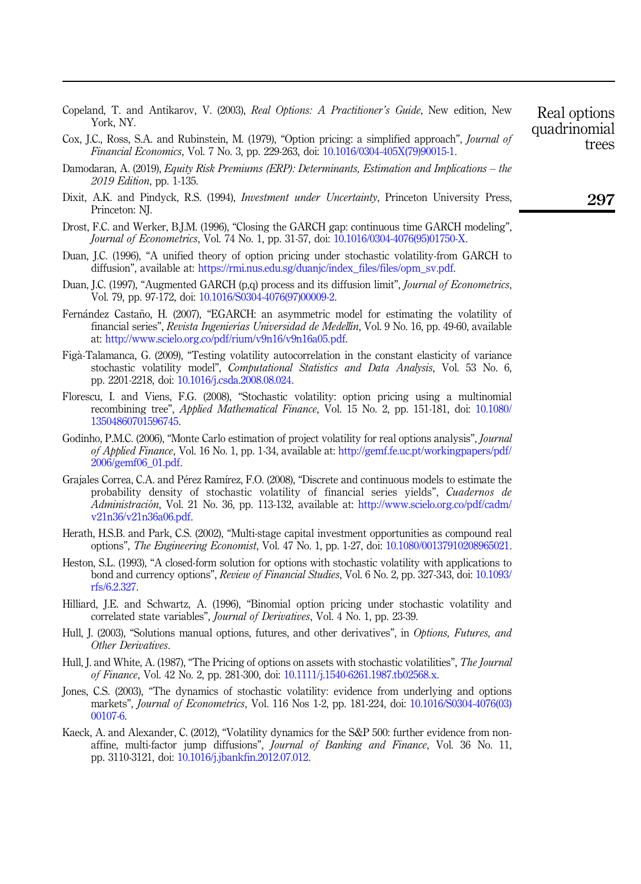- <span id="page-15-16"></span>Copeland, T. and Antikarov, V. (2003), Real Options: A Practitioner's Guide, New edition, New York, NY.
- <span id="page-15-15"></span>Cox, J.C., Ross, S.A. and Rubinstein, M. (1979), "Option pricing: a simplified approach", Journal of Financial Economics, Vol. 7 No. 3, pp. 229-263, doi: [10.1016/0304-405X\(79\)90015-1](https://doi.org/10.1016/0304-405X(79)90015-1).
- <span id="page-15-0"></span>Damodaran, A. (2019), Equity Risk Premiums (ERP): Determinants, Estimation and Implications – the 2019 Edition, pp. 1-135.
- <span id="page-15-1"></span>Dixit, A.K. and Pindyck, R.S. (1994), Investment under Uncertainty, Princeton University Press, Princeton: NJ.
- <span id="page-15-4"></span>Drost, F.C. and Werker, B.J.M. (1996), "Closing the GARCH gap: continuous time GARCH modeling", Journal of Econometrics, Vol. 74 No. 1, pp. 31-57, doi: [10.1016/0304-4076\(95\)01750-X](https://doi.org/10.1016/0304-4076(95)01750-X).
- <span id="page-15-6"></span>Duan, J.C. (1996), "A unified theory of option pricing under stochastic volatility-from GARCH to diffusion", available at: [https://rmi.nus.edu.sg/duanjc/index\\_files/files/opm\\_sv.pdf](https://rmi.nus.edu.sg/duanjc/index_files/files/opm_sv.pdf).
- <span id="page-15-5"></span>Duan, J.C. (1997), "Augmented GARCH (p,q) process and its diffusion limit", *Journal of Econometrics*, Vol. 79, pp. 97-172, doi: [10.1016/S0304-4076\(97\)00009-2.](https://doi.org/10.1016/S0304-4076(97)00009-2)
- <span id="page-15-9"></span>Fernández Castaño, H. (2007), "EGARCH: an asymmetric model for estimating the volatility of financial series", Revista Ingenierías Universidad de Medellín, Vol. 9 No. 16, pp. 49-60, available at: [http://www.scielo.org.co/pdf/rium/v9n16/v9n16a05.pdf.](http://www.scielo.org.co/pdf/rium/v9n16/v9n16a05.pdf)
- <span id="page-15-7"></span>Figa-Talamanca, G. (2009), "Testing volatility autocorrelation in the constant elasticity of variance stochastic volatility model", *Computational Statistics and Data Analysis*, Vol. 53 No. 6, pp. 2201-2218, doi: [10.1016/j.csda.2008.08.024.](https://doi.org/10.1016/j.csda.2008.08.024)
- <span id="page-15-13"></span>Florescu, I. and Viens, F.G. (2008), "Stochastic volatility: option pricing using a multinomial recombining tree", Applied Mathematical Finance, Vol. 15 No. 2, pp. 151-181, doi: [10.1080/](https://doi.org/10.1080/13504860701596745) [13504860701596745.](https://doi.org/10.1080/13504860701596745)
- <span id="page-15-18"></span>Godinho, P.M.C. (2006), "Monte Carlo estimation of project volatility for real options analysis", *Journal* of Applied Finance, Vol. 16 No. 1, pp. 1-34, available at: [http://gemf.fe.uc.pt/workingpapers/pdf/](http://gemf.fe.uc.pt/workingpapers/pdf/2006/gemf06_01.pdf) [2006/gemf06\\_01.pdf.](http://gemf.fe.uc.pt/workingpapers/pdf/2006/gemf06_01.pdf)
- <span id="page-15-8"></span>Grajales Correa, C.A. and Perez Ramırez, F.O. (2008), "Discrete and continuous models to estimate the probability density of stochastic volatility of financial series yields", Cuadernos de Administracion, Vol. 21 No. 36, pp. 113-132, available at: [http://www.scielo.org.co/pdf/cadm/](http://www.scielo.org.co/pdf/cadm/v21n36/v21n36a06.pdf) [v21n36/v21n36a06.pdf.](http://www.scielo.org.co/pdf/cadm/v21n36/v21n36a06.pdf)
- <span id="page-15-17"></span>Herath, H.S.B. and Park, C.S. (2002), "Multi-stage capital investment opportunities as compound real options", The Engineering Economist, Vol. 47 No. 1, pp. 1-27, doi: [10.1080/00137910208965021](https://doi.org/10.1080/00137910208965021).
- <span id="page-15-3"></span>Heston, S.L. (1993), "A closed-form solution for options with stochastic volatility with applications to bond and currency options", Review of Financial Studies, Vol. 6 No. 2, pp. 327-343, doi: [10.1093/](https://doi.org/10.1093/rfs/6.2.327) [rfs/6.2.327.](https://doi.org/10.1093/rfs/6.2.327)
- <span id="page-15-10"></span>Hilliard, J.E. and Schwartz, A. (1996), "Binomial option pricing under stochastic volatility and correlated state variables", Journal of Derivatives, Vol. 4 No. 1, pp. 23-39.
- <span id="page-15-14"></span>Hull, J. (2003), "Solutions manual options, futures, and other derivatives", in Options, Futures, and Other Derivatives.
- <span id="page-15-2"></span>Hull, J. and White, A. (1987), "The Pricing of options on assets with stochastic volatilities", The Journal of Finance, Vol. 42 No. 2, pp. 281-300, doi: [10.1111/j.1540-6261.1987.tb02568.x](https://doi.org/10.1111/j.1540-6261.1987.tb02568.x).
- <span id="page-15-11"></span>Jones, C.S. (2003), "The dynamics of stochastic volatility: evidence from underlying and options markets", Journal of Econometrics, Vol. 116 Nos 1-2, pp. 181-224, doi: [10.1016/S0304-4076\(03\)](https://doi.org/10.1016/S0304-4076(03)00107-6) [00107-6](https://doi.org/10.1016/S0304-4076(03)00107-6).
- <span id="page-15-12"></span>Kaeck, A. and Alexander, C. (2012), "Volatility dynamics for the S&P 500: further evidence from nonaffine, multi-factor jump diffusions", Journal of Banking and Finance, Vol. 36 No. 11, pp. 3110-3121, doi: [10.1016/j.jbankfin.2012.07.012.](https://doi.org/10.1016/j.jbankfin.2012.07.012)

trees

Real options quadrinomial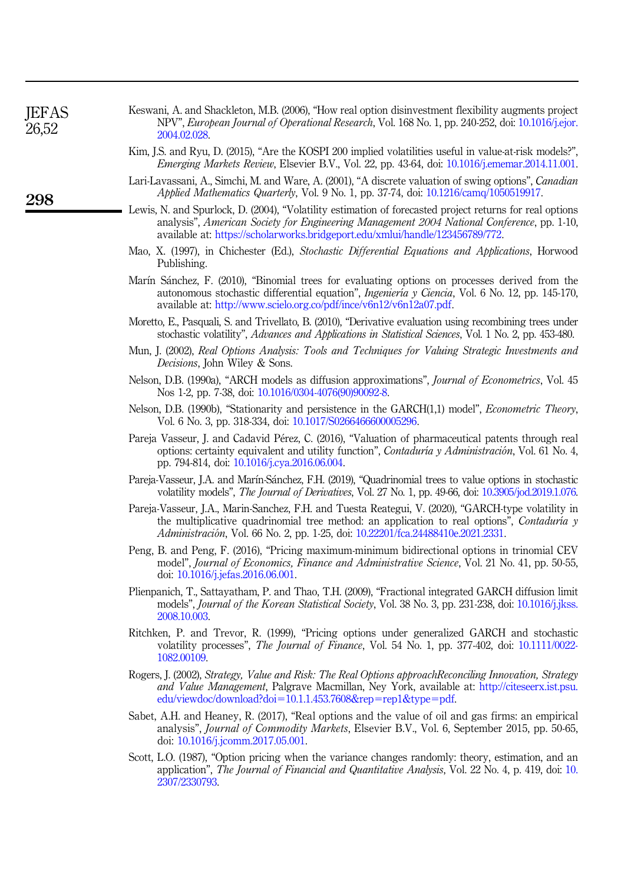<span id="page-16-18"></span><span id="page-16-17"></span><span id="page-16-16"></span><span id="page-16-15"></span><span id="page-16-14"></span><span id="page-16-13"></span><span id="page-16-12"></span><span id="page-16-11"></span><span id="page-16-10"></span><span id="page-16-9"></span><span id="page-16-8"></span><span id="page-16-7"></span><span id="page-16-6"></span><span id="page-16-5"></span><span id="page-16-4"></span><span id="page-16-3"></span><span id="page-16-2"></span><span id="page-16-1"></span><span id="page-16-0"></span>

| <b>JEFAS</b><br>26,52 | Keswani, A. and Shackleton, M.B. (2006), "How real option disinvestment flexibility augments project<br>NPV", European Journal of Operational Research, Vol. 168 No. 1, pp. 240-252, doi: 10.1016/j.ejor.<br>2004.02.028.                                                               |
|-----------------------|-----------------------------------------------------------------------------------------------------------------------------------------------------------------------------------------------------------------------------------------------------------------------------------------|
|                       | Kim, J.S. and Ryu, D. (2015), "Are the KOSPI 200 implied volatilities useful in value-at-risk models?",<br><i>Emerging Markets Review, Elsevier B.V., Vol. 22, pp. 43-64, doi: 10.1016/j.ememar.2014.11.001.</i>                                                                        |
| 298                   | Lari-Lavassani, A., Simchi, M. and Ware, A. (2001), "A discrete valuation of swing options", Canadian<br>Applied Mathematics Quarterly, Vol. 9 No. 1, pp. 37-74, doi: 10.1216/camq/1050519917.                                                                                          |
|                       | Lewis, N. and Spurlock, D. (2004), "Volatility estimation of forecasted project returns for real options<br>analysis", American Society for Engineering Management 2004 National Conference, pp. 1-10,<br>available at: https://scholarworks.bridgeport.edu/xmlui/handle/123456789/772. |
|                       | Mao, X. (1997), in Chichester (Ed.), Stochastic Differential Equations and Applications, Horwood<br>Publishing.                                                                                                                                                                         |
|                       | Marín Sánchez, F. (2010), "Binomial trees for evaluating options on processes derived from the<br>autonomous stochastic differential equation", Ingeniería y Ciencia, Vol. 6 No. 12, pp. 145-170,<br>available at: http://www.scielo.org.co/pdf/ince/v6n12/v6n12a07.pdf.                |
|                       | Moretto, E., Pasquali, S. and Trivellato, B. (2010), "Derivative evaluation using recombining trees under<br>stochastic volatility", <i>Advances and Applications in Statistical Sciences</i> , Vol. 1 No. 2, pp. 453-480.                                                              |
|                       | Mun, J. (2002), Real Options Analysis: Tools and Techniques for Valuing Strategic Investments and<br><i>Decisions</i> , John Wiley & Sons.                                                                                                                                              |
|                       | Nelson, D.B. (1990a), "ARCH models as diffusion approximations", <i>Journal of Econometrics</i> , Vol. 45<br>Nos 1-2, pp. 7-38, doi: 10.1016/0304-4076(90)90092-8.                                                                                                                      |
|                       | Nelson, D.B. (1990b), "Stationarity and persistence in the GARCH(1,1) model", <i>Econometric Theory</i> ,<br>Vol. 6 No. 3, pp. 318-334, doi: 10.1017/S0266466600005296.                                                                                                                 |
|                       | Pareja Vasseur, J. and Cadavid Pérez, C. (2016), "Valuation of pharmaceutical patents through real<br>options: certainty equivalent and utility function", Contaduría y Administración, Vol. 61 No. 4,<br>pp. 794-814, doi: 10.1016/j.cya.2016.06.004.                                  |
|                       | Pareja-Vasseur, J.A. and Marín-Sánchez, F.H. (2019), "Quadrinomial trees to value options in stochastic<br>volatility models", The Journal of Derivatives, Vol. 27 No. 1, pp. 49-66, doi: 10.3905/jod.2019.1.076.                                                                       |
|                       | Pareja-Vasseur, J.A., Marin-Sanchez, F.H. and Tuesta Reategui, V. (2020), "GARCH-type volatility in<br>the multiplicative quadrinomial tree method: an application to real options", Contaduría y<br>Administración, Vol. 66 No. 2, pp. 1-25, doi: 10.22201/fca.24488410e.2021.2331.    |
|                       | Peng, B. and Peng, F. (2016), "Pricing maximum-minimum bidirectional options in trinomial CEV<br>model", Journal of Economics, Finance and Administrative Science, Vol. 21 No. 41, pp. 50-55,<br>doi: 10.1016/j.jefas.2016.06.001.                                                      |
|                       | Plienpanich, T., Sattayatham, P. and Thao, T.H. (2009), "Fractional integrated GARCH diffusion limit<br>models", <i>Journal of the Korean Statistical Society</i> , Vol. 38 No. 3, pp. 231-238, doi: 10.1016/j.jkss.<br>2008.10.003.                                                    |
|                       | Ritchken, P. and Trevor, R. (1999), "Pricing options under generalized GARCH and stochastic<br>volatility processes", The Journal of Finance, Vol. 54 No. 1, pp. 377-402, doi: 10.1111/0022-<br>1082,00109.                                                                             |
|                       | Rogers, J. (2002), Strategy, Value and Risk: The Real Options approach Reconciling Innovation, Strategy<br>and Value Management, Palgrave Macmillan, Ney York, available at: http://citeseerx.ist.psu.<br>edu/viewdoc/download?doi=10.1.1.453.7608&rep=rep1&type=pdf.                   |
|                       | Sabet, A.H. and Heaney, R. (2017), "Real options and the value of oil and gas firms: an empirical<br>analysis", Journal of Commodity Markets, Elsevier B.V., Vol. 6, September 2015, pp. 50-65,<br>doi: 10.1016/j.jcomm.2017.05.001.                                                    |
|                       | Scott, L.O. (1987), "Option pricing when the variance changes randomly: theory, estimation, and an<br>application", The Journal of Financial and Quantitative Analysis, Vol. 22 No. 4, p. 419, doi: 10.<br>2307/2330793.                                                                |
|                       |                                                                                                                                                                                                                                                                                         |